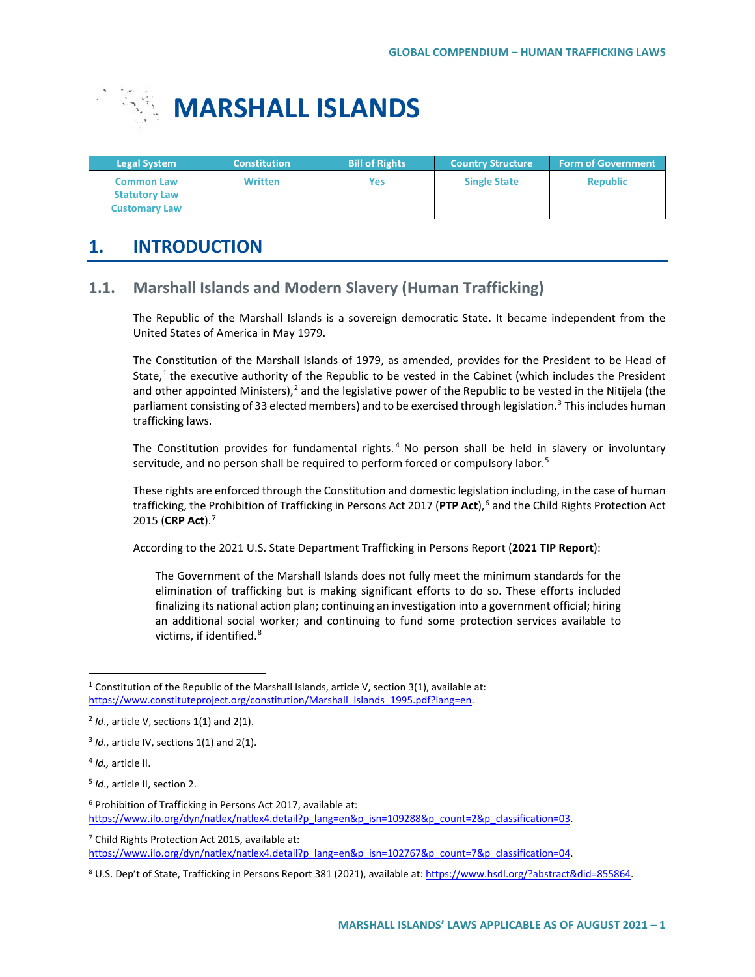

| <b>Legal System</b>                                               | <b>Constitution</b> | <b>Bill of Rights</b> | <b>Country Structure</b> | <b>Form of Government</b> |
|-------------------------------------------------------------------|---------------------|-----------------------|--------------------------|---------------------------|
| <b>Common Law</b><br><b>Statutory Law</b><br><b>Customary Law</b> | <b>Written</b>      | Yes                   | <b>Single State</b>      | <b>Republic</b>           |

# **1. INTRODUCTION**

## **1.1. Marshall Islands and Modern Slavery (Human Trafficking)**

The Republic of the Marshall Islands is a sovereign democratic State. It became independent from the United States of America in May 1979.

The Constitution of the Marshall Islands of 1979, as amended, provides for the President to be Head of State, $1$  the executive authority of the Republic to be vested in the Cabinet (which includes the President and other appointed Ministers),<sup>[2](#page-0-1)</sup> and the legislative power of the Republic to be vested in the Nitijela (the parliament consisting of 33 elected members) and to be exercised through legislation.<sup>3</sup> This includes human trafficking laws.

The Constitution provides for fundamental rights.<sup>[4](#page-0-3)</sup> No person shall be held in slavery or involuntary servitude, and no person shall be required to perform forced or compulsory labor.<sup>[5](#page-0-4)</sup>

These rights are enforced through the Constitution and domestic legislation including, in the case of human trafficking, the Prohibition of Trafficking in Persons Act 2017 (PTP Act),<sup>[6](#page-0-5)</sup> and the Child Rights Protection Act 2015 (**CRP Act**).[7](#page-0-6)

According to the 2021 U.S. State Department Trafficking in Persons Report (**2021 TIP Report**):

The Government of the Marshall Islands does not fully meet the minimum standards for the elimination of trafficking but is making significant efforts to do so. These efforts included finalizing its national action plan; continuing an investigation into a government official; hiring an additional social worker; and continuing to fund some protection services available to victims, if identified.<sup>[8](#page-0-7)</sup>

<span id="page-0-6"></span><sup>7</sup> Child Rights Protection Act 2015, available at: https://www.ilo.org/dyn/natlex/natlex4.detail?p\_lang=en&p\_isn=102767&p\_count=7&p\_classification=04.

<span id="page-0-0"></span><sup>&</sup>lt;sup>1</sup> Constitution of the Republic of the Marshall Islands, article V, section 3(1), available at: https://www.constituteproject.org/constitution/Marshall\_Islands\_1995.pdf?lang=en.

<span id="page-0-1"></span><sup>2</sup> *Id*., article V, sections 1(1) and 2(1).

<span id="page-0-2"></span><sup>3</sup> *Id*., article IV, sections 1(1) and 2(1).

<span id="page-0-3"></span><sup>4</sup> *Id.,* article II.

<span id="page-0-4"></span><sup>5</sup> *Id*., article II, section 2.

<span id="page-0-5"></span><sup>&</sup>lt;sup>6</sup> Prohibition of Trafficking in Persons Act 2017, available at: https://www.ilo.org/dyn/natlex/natlex4.detail?p\_lang=en&p\_isn=109288&p\_count=2&p\_classification=03.

<span id="page-0-7"></span><sup>8</sup> U.S. Dep't of State, Trafficking in Persons Report 381 (2021), available at[: https://www.hsdl.org/?abstract&did=855864.](https://www.hsdl.org/?abstract&did=855864)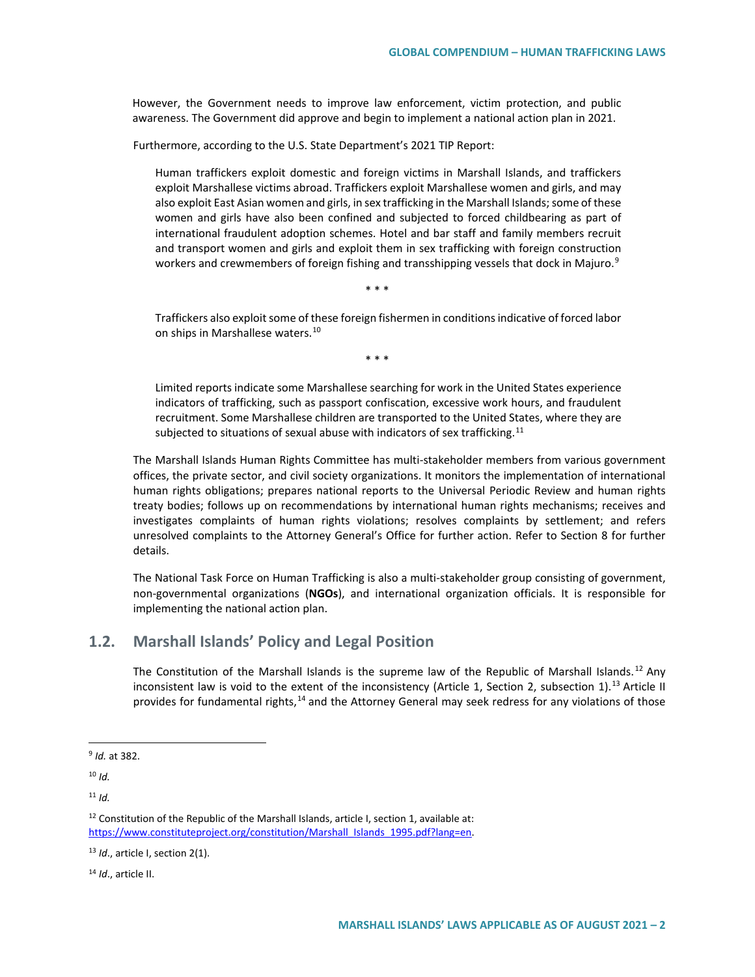However, the Government needs to improve law enforcement, victim protection, and public awareness. The Government did approve and begin to implement a national action plan in 2021.

Furthermore, according to the U.S. State Department's 2021 TIP Report:

Human traffickers exploit domestic and foreign victims in Marshall Islands, and traffickers exploit Marshallese victims abroad. Traffickers exploit Marshallese women and girls, and may also exploit East Asian women and girls, in sex trafficking in the Marshall Islands; some of these women and girls have also been confined and subjected to forced childbearing as part of international fraudulent adoption schemes. Hotel and bar staff and family members recruit and transport women and girls and exploit them in sex trafficking with foreign construction workers and crewmembers of foreign fishing and transshipping vessels that dock in Majuro.<sup>[9](#page-1-0)</sup>

\* \* \*

Traffickers also exploit some of these foreign fishermen in conditions indicative of forced labor on ships in Marshallese waters.<sup>[10](#page-1-1)</sup>

\* \* \*

Limited reports indicate some Marshallese searching for work in the United States experience indicators of trafficking, such as passport confiscation, excessive work hours, and fraudulent recruitment. Some Marshallese children are transported to the United States, where they are subjected to situations of sexual abuse with indicators of sex trafficking.<sup>[11](#page-1-2)</sup>

The Marshall Islands Human Rights Committee has multi-stakeholder members from various government offices, the private sector, and civil society organizations. It monitors the implementation of international human rights obligations; prepares national reports to the Universal Periodic Review and human rights treaty bodies; follows up on recommendations by international human rights mechanisms; receives and investigates complaints of human rights violations; resolves complaints by settlement; and refers unresolved complaints to the Attorney General's Office for further action. Refer to Section 8 for further details.

The National Task Force on Human Trafficking is also a multi-stakeholder group consisting of government, non-governmental organizations (**NGOs**), and international organization officials. It is responsible for implementing the national action plan.

## **1.2. Marshall Islands' Policy and Legal Position**

The Constitution of the Marshall Islands is the supreme law of the Republic of Marshall Islands.<sup>[12](#page-1-3)</sup> Any inconsistent law is void to the extent of the inconsistency (Article 1, Section 2, subsection 1).<sup>[13](#page-1-4)</sup> Article II provides for fundamental rights,<sup>[14](#page-1-5)</sup> and the Attorney General may seek redress for any violations of those

<span id="page-1-2"></span><sup>11</sup> *Id.*

<span id="page-1-5"></span><sup>14</sup> *Id*., article II.

<span id="page-1-0"></span> <sup>9</sup> *Id.* at 382.

<span id="page-1-1"></span> $10$  *Id.* 

<span id="page-1-3"></span> $12$  Constitution of the Republic of the Marshall Islands, article I, section 1, available at: https://www.constituteproject.org/constitution/Marshall\_Islands\_1995.pdf?lang=en.

<span id="page-1-4"></span><sup>13</sup> *Id*., article I, section 2(1).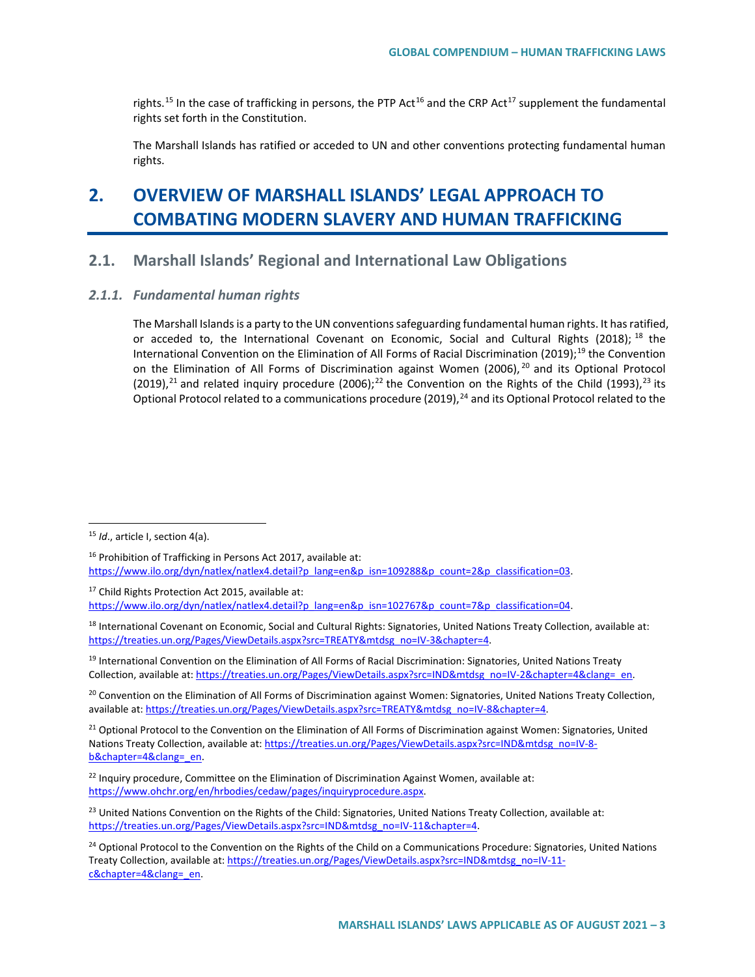rights.<sup>[15](#page-2-0)</sup> In the case of trafficking in persons, the PTP Act<sup>[16](#page-2-1)</sup> and the CRP Act<sup>[17](#page-2-2)</sup> supplement the fundamental rights set forth in the Constitution.

The Marshall Islands has ratified or acceded to UN and other conventions protecting fundamental human rights.

# **2. OVERVIEW OF MARSHALL ISLANDS' LEGAL APPROACH TO COMBATING MODERN SLAVERY AND HUMAN TRAFFICKING**

## **2.1. Marshall Islands' Regional and International Law Obligations**

#### *2.1.1. Fundamental human rights*

The Marshall Islands is a party to the UN conventions safeguarding fundamental human rights. It has ratified, or acceded to, the International Covenant on Economic, Social and Cultural Rights (20[18](#page-2-3)); <sup>18</sup> the International Convention on the Elimination of All Forms of Racial Discrimination (20[19](#page-2-4));<sup>19</sup> the Convention on the Elimination of All Forms of Discrimination against Women ([20](#page-2-5)06), <sup>20</sup> and its Optional Protocol (2019),<sup>[21](#page-2-6)</sup> and related inquiry procedure (2006);<sup>[22](#page-2-7)</sup> the Convention on the Rights of the Child (1993),<sup>[23](#page-2-8)</sup> its Optional Protocol related to a communications procedure (2019), <sup>[24](#page-2-9)</sup> and its Optional Protocol related to the

<span id="page-2-2"></span><sup>17</sup> Child Rights Protection Act 2015, available at: https://www.ilo.org/dyn/natlex/natlex4.detail?p\_lang=en&p\_isn=102767&p\_count=7&p\_classification=04.

<span id="page-2-5"></span><sup>20</sup> Convention on the Elimination of All Forms of Discrimination against Women: Signatories, United Nations Treaty Collection, available at[: https://treaties.un.org/Pages/ViewDetails.aspx?src=TREATY&mtdsg\\_no=IV-8&chapter=4.](https://treaties.un.org/Pages/ViewDetails.aspx?src=TREATY&mtdsg_no=IV-8&chapter=4)

<span id="page-2-6"></span><sup>21</sup> Optional Protocol to the Convention on the Elimination of All Forms of Discrimination against Women: Signatories, United Nations Treaty Collection, available at[: https://treaties.un.org/Pages/ViewDetails.aspx?src=IND&mtdsg\\_no=IV-8](https://treaties.un.org/Pages/ViewDetails.aspx?src=IND&mtdsg_no=IV-8-b&chapter=4&clang=_en) [b&chapter=4&clang=\\_en.](https://treaties.un.org/Pages/ViewDetails.aspx?src=IND&mtdsg_no=IV-8-b&chapter=4&clang=_en) 

<span id="page-2-7"></span> $22$  Inquiry procedure, Committee on the Elimination of Discrimination Against Women, available at: [https://www.ohchr.org/en/hrbodies/cedaw/pages/inquiryprocedure.aspx.](https://www.ohchr.org/en/hrbodies/cedaw/pages/inquiryprocedure.aspx) 

<span id="page-2-8"></span><sup>23</sup> United Nations Convention on the Rights of the Child: Signatories, United Nations Treaty Collection, available at: [https://treaties.un.org/Pages/ViewDetails.aspx?src=IND&mtdsg\\_no=IV-11&chapter=4.](https://treaties.un.org/Pages/ViewDetails.aspx?src=IND&mtdsg_no=IV-11&chapter=4)

<span id="page-2-0"></span> <sup>15</sup> *Id*., article I, section 4(a).

<span id="page-2-1"></span><sup>16</sup> Prohibition of Trafficking in Persons Act 2017, available at: https://www.ilo.org/dyn/natlex/natlex4.detail?p\_lang=en&p\_isn=109288&p\_count=2&p\_classification=03.

<span id="page-2-3"></span><sup>&</sup>lt;sup>18</sup> International Covenant on Economic, Social and Cultural Rights: Signatories, United Nations Treaty Collection, available at: [https://treaties.un.org/Pages/ViewDetails.aspx?src=TREATY&mtdsg\\_no=IV-3&chapter=4.](https://treaties.un.org/Pages/ViewDetails.aspx?src=TREATY&mtdsg_no=IV-3&chapter=4) 

<span id="page-2-4"></span><sup>&</sup>lt;sup>19</sup> International Convention on the Elimination of All Forms of Racial Discrimination: Signatories, United Nations Treaty Collection, available at: [https://treaties.un.org/Pages/ViewDetails.aspx?src=IND&mtdsg\\_no=IV-2&chapter=4&clang=\\_en.](https://treaties.un.org/Pages/ViewDetails.aspx?src=IND&mtdsg_no=IV-2&chapter=4&clang=_en)

<span id="page-2-9"></span><sup>&</sup>lt;sup>24</sup> Optional Protocol to the Convention on the Rights of the Child on a Communications Procedure: Signatories, United Nations Treaty Collection, available at[: https://treaties.un.org/Pages/ViewDetails.aspx?src=IND&mtdsg\\_no=IV-11](https://treaties.un.org/Pages/ViewDetails.aspx?src=IND&mtdsg_no=IV-11-c&chapter=4&clang=_en) c&chapter=4&clang=\_en.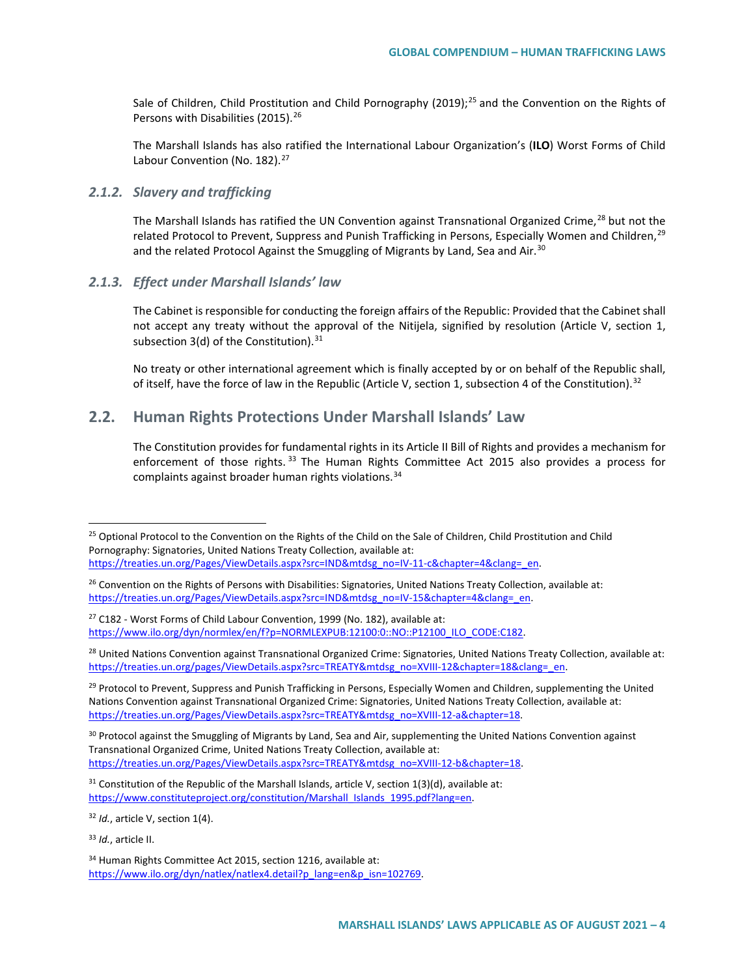Sale of Children, Child Prostitution and Child Pornography (2019);<sup>[25](#page-3-0)</sup> and the Convention on the Rights of Persons with Disabilities (2015).<sup>[26](#page-3-1)</sup>

The Marshall Islands has also ratified the International Labour Organization's (**ILO**) Worst Forms of Child Labour Convention (No. 182).<sup>[27](#page-3-2)</sup>

#### *2.1.2. Slavery and trafficking*

The Marshall Islands has ratified the UN Convention against Transnational Organized Crime,<sup>[28](#page-3-3)</sup> but not the related Protocol to Prevent, Suppress and Punish Trafficking in Persons, Especially Women and Children, <sup>[29](#page-3-4)</sup> and the related Protocol Against the Smuggling of Migrants by Land, Sea and Air.<sup>[30](#page-3-5)</sup>

#### *2.1.3. Effect under Marshall Islands' law*

The Cabinet is responsible for conducting the foreign affairs of the Republic: Provided that the Cabinet shall not accept any treaty without the approval of the Nitijela, signified by resolution (Article V, section 1, subsection  $3(d)$  of the Constitution).<sup>[31](#page-3-6)</sup>

No treaty or other international agreement which is finally accepted by or on behalf of the Republic shall, of itself, have the force of law in the Republic (Article V, section 1, subsection 4 of the Constitution).<sup>[32](#page-3-7)</sup>

### **2.2. Human Rights Protections Under Marshall Islands' Law**

The Constitution provides for fundamental rights in its Article II Bill of Rights and provides a mechanism for enforcement of those rights.<sup>[33](#page-3-8)</sup> The Human Rights Committee Act 2015 also provides a process for complaints against broader human rights violations.<sup>[34](#page-3-9)</sup>

<span id="page-3-3"></span><sup>28</sup> United Nations Convention against Transnational Organized Crime: Signatories, United Nations Treaty Collection, available at: https://treaties.un.org/pages/ViewDetails.aspx?src=TREATY&mtdsg\_no=XVIII-12&chapter=18&clang=\_en.

<span id="page-3-4"></span><sup>29</sup> Protocol to Prevent, Suppress and Punish Trafficking in Persons, Especially Women and Children, supplementing the United Nations Convention against Transnational Organized Crime: Signatories, United Nations Treaty Collection, available at: [https://treaties.un.org/Pages/ViewDetails.aspx?src=TREATY&mtdsg\\_no=XVIII-12-a&chapter=18.](https://treaties.un.org/Pages/ViewDetails.aspx?src=TREATY&mtdsg_no=XVIII-12-a&chapter=18)

<span id="page-3-5"></span><sup>30</sup> Protocol against the Smuggling of Migrants by Land, Sea and Air, supplementing the United Nations Convention against Transnational Organized Crime, United Nations Treaty Collection, available at: https://treaties.un.org/Pages/ViewDetails.aspx?src=TREATY&mtdsg\_no=XVIII-12-b&chapter=18.

<span id="page-3-6"></span> $31$  Constitution of the Republic of the Marshall Islands, article V, section 1(3)(d), available at: https://www.constituteproject.org/constitution/Marshall\_Islands\_1995.pdf?lang=en.

<span id="page-3-7"></span><sup>32</sup> *Id.*, article V, section 1(4).

<span id="page-3-8"></span><sup>33</sup> *Id.*, article II.

<span id="page-3-9"></span><sup>34</sup> Human Rights Committee Act 2015, section 1216, available at: [https://www.ilo.org/dyn/natlex/natlex4.detail?p\\_lang=en&p\\_isn=102769.](https://www.ilo.org/dyn/natlex/natlex4.detail?p_lang=en&p_isn=102769) 

<span id="page-3-0"></span><sup>&</sup>lt;sup>25</sup> Optional Protocol to the Convention on the Rights of the Child on the Sale of Children, Child Prostitution and Child Pornography: Signatories, United Nations Treaty Collection, available at:

[https://treaties.un.org/Pages/ViewDetails.aspx?src=IND&mtdsg\\_no=IV-11-c&chapter=4&clang=\\_en.](https://treaties.un.org/Pages/ViewDetails.aspx?src=IND&mtdsg_no=IV-11-c&chapter=4&clang=_en)

<span id="page-3-1"></span><sup>&</sup>lt;sup>26</sup> Convention on the Rights of Persons with Disabilities: Signatories, United Nations Treaty Collection, available at: https://treaties.un.org/Pages/ViewDetails.aspx?src=IND&mtdsg\_no=IV-15&chapter=4&clang=\_en.

<span id="page-3-2"></span><sup>&</sup>lt;sup>27</sup> C182 - Worst Forms of Child Labour Convention, 1999 (No. 182), available at: https://www.ilo.org/dyn/normlex/en/f?p=NORMLEXPUB:12100:0::NO::P12100\_ILO\_CODE:C182.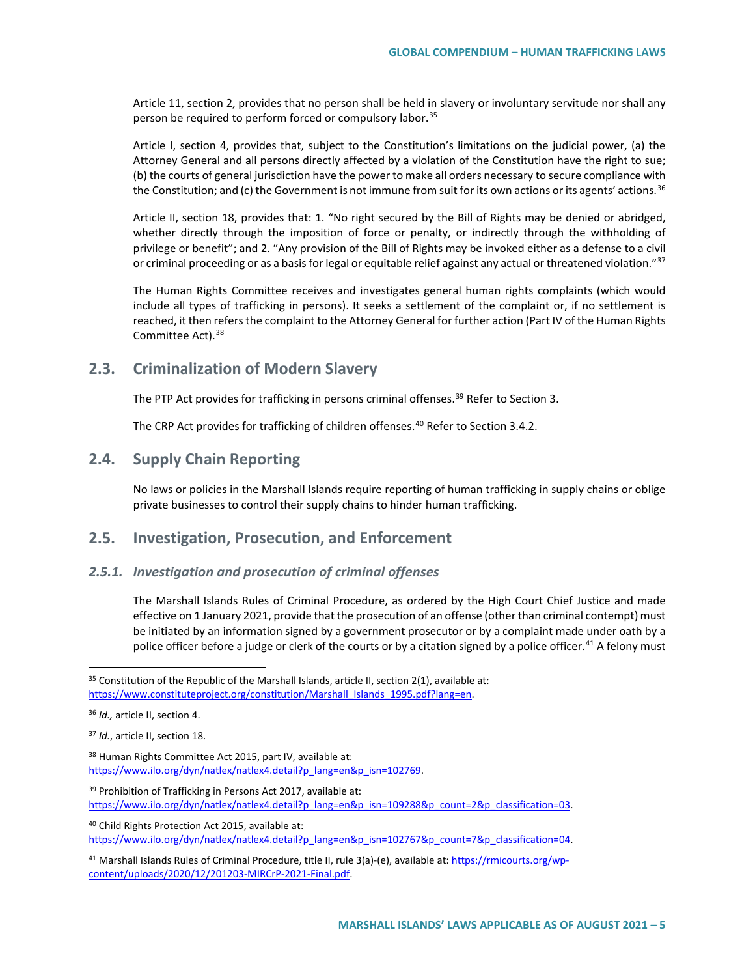Article 11, section 2, provides that no person shall be held in slavery or involuntary servitude nor shall any person be required to perform forced or compulsory labor.<sup>[35](#page-4-0)</sup>

Article I, section 4, provides that, subject to the Constitution's limitations on the judicial power, (a) the Attorney General and all persons directly affected by a violation of the Constitution have the right to sue; (b) the courts of general jurisdiction have the power to make all orders necessary to secure compliance with the Constitution; and (c) the Government is not immune from suit for its own actions or its agents' actions.<sup>[36](#page-4-1)</sup>

Article II, section 18, provides that: 1. "No right secured by the Bill of Rights may be denied or abridged, whether directly through the imposition of force or penalty, or indirectly through the withholding of privilege or benefit"; and 2. "Any provision of the Bill of Rights may be invoked either as a defense to a civil or criminal proceeding or as a basis for legal or equitable relief against any actual or threatened violation."<sup>[37](#page-4-2)</sup>

The Human Rights Committee receives and investigates general human rights complaints (which would include all types of trafficking in persons). It seeks a settlement of the complaint or, if no settlement is reached, it then refers the complaint to the Attorney General for further action (Part IV of the Human Rights Committee Act).[38](#page-4-3)

### **2.3. Criminalization of Modern Slavery**

The PTP Act provides for trafficking in persons criminal offenses.<sup>[39](#page-4-4)</sup> Refer to Section 3.

The CRP Act provides for trafficking of children offenses.<sup>[40](#page-4-5)</sup> Refer to Section 3.4.2.

### **2.4. Supply Chain Reporting**

No laws or policies in the Marshall Islands require reporting of human trafficking in supply chains or oblige private businesses to control their supply chains to hinder human trafficking.

## **2.5. Investigation, Prosecution, and Enforcement**

#### *2.5.1. Investigation and prosecution of criminal offenses*

The Marshall Islands Rules of Criminal Procedure, as ordered by the High Court Chief Justice and made effective on 1 January 2021, provide that the prosecution of an offense (other than criminal contempt) must be initiated by an information signed by a government prosecutor or by a complaint made under oath by a police officer before a judge or clerk of the courts or by a citation signed by a police officer.<sup>[41](#page-4-6)</sup> A felony must

<span id="page-4-3"></span>38 Human Rights Committee Act 2015, part IV, available at: https://www.ilo.org/dyn/natlex/natlex4.detail?p\_lang=en&p\_isn=102769.

<span id="page-4-4"></span><sup>39</sup> Prohibition of Trafficking in Persons Act 2017, available at: https://www.ilo.org/dyn/natlex/natlex4.detail?p\_lang=en&p\_isn=109288&p\_count=2&p\_classification=03.

<span id="page-4-5"></span><sup>40</sup> Child Rights Protection Act 2015, available at: https://www.ilo.org/dyn/natlex/natlex4.detail?p\_lang=en&p\_isn=102767&p\_count=7&p\_classification=04.

<span id="page-4-0"></span> $35$  Constitution of the Republic of the Marshall Islands, article II, section 2(1), available at: [https://www.constituteproject.org/constitution/Marshall\\_Islands\\_1995.pdf?lang=en.](https://www.constituteproject.org/constitution/Marshall_Islands_1995.pdf?lang=en)

<span id="page-4-1"></span><sup>36</sup> *Id.,* article II, section 4.

<span id="page-4-2"></span><sup>37</sup> *Id.*, article II, section 18.

<span id="page-4-6"></span><sup>&</sup>lt;sup>41</sup> Marshall Islands Rules of Criminal Procedure, title II, rule 3(a)-(e), available at[: https://rmicourts.org/wp](https://rmicourts.org/wp-content/uploads/2020/12/201203-MIRCrP-2021-Final.pdf)[content/uploads/2020/12/201203-MIRCrP-2021-Final.pdf.](https://rmicourts.org/wp-content/uploads/2020/12/201203-MIRCrP-2021-Final.pdf)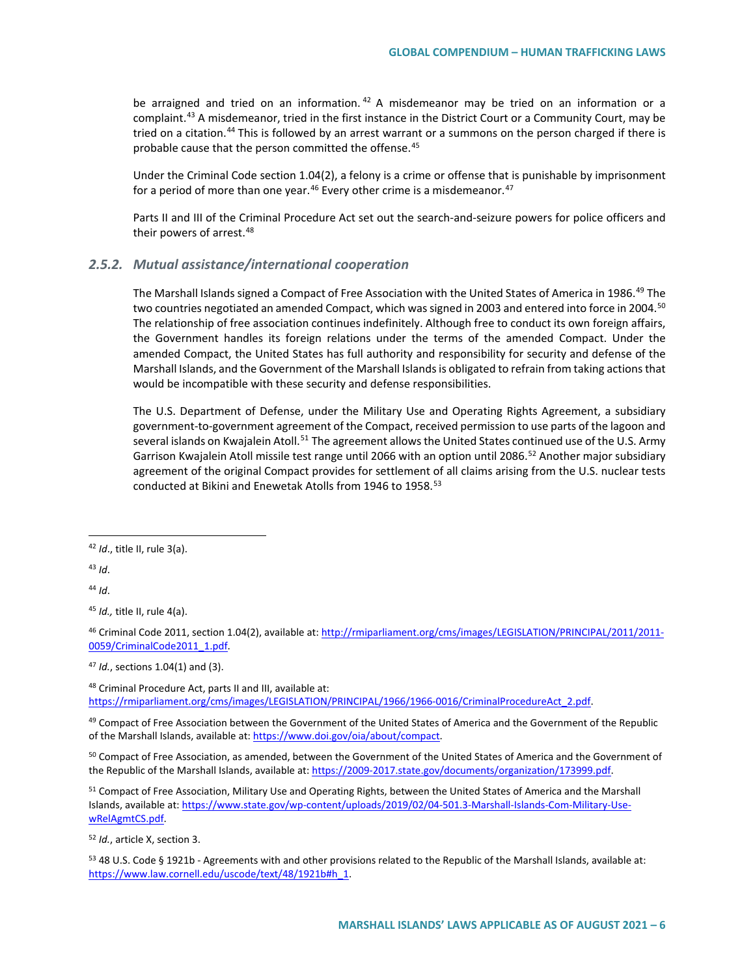be arraigned and tried on an information.  $42$  A misdemeanor may be tried on an information or a complaint.<sup>[43](#page-5-1)</sup> A misdemeanor, tried in the first instance in the District Court or a Community Court, may be tried on a citation.<sup>[44](#page-5-2)</sup> This is followed by an arrest warrant or a summons on the person charged if there is probable cause that the person committed the offense.<sup>[45](#page-5-3)</sup>

Under the Criminal Code section 1.04(2), a felony is a crime or offense that is punishable by imprisonment for a period of more than one year.<sup>[46](#page-5-4)</sup> Every other crime is a misdemeanor.<sup>[47](#page-5-5)</sup>

Parts II and III of the Criminal Procedure Act set out the search-and-seizure powers for police officers and their powers of arrest.<sup>[48](#page-5-6)</sup>

#### *2.5.2. Mutual assistance/international cooperation*

The Marshall Islands signed a Compact of Free Association with the United States of America in 1986.<sup>[49](#page-5-7)</sup> The two countries negotiated an amended Compact, which was signed in 2003 and entered into force in 2004.<sup>50</sup> The relationship of free association continues indefinitely. Although free to conduct its own foreign affairs, the Government handles its foreign relations under the terms of the amended Compact. Under the amended Compact, the United States has full authority and responsibility for security and defense of the Marshall Islands, and the Government of the Marshall Islands is obligated to refrain from taking actions that would be incompatible with these security and defense responsibilities.

The U.S. Department of Defense, under the Military Use and Operating Rights Agreement, a subsidiary government-to-government agreement of the Compact, received permission to use parts of the lagoon and several islands on Kwajalein Atoll.<sup>[51](#page-5-9)</sup> The agreement allows the United States continued use of the U.S. Army Garrison Kwajalein Atoll missile test range until 2066 with an option until 2086.<sup>[52](#page-5-10)</sup> Another major subsidiary agreement of the original Compact provides for settlement of all claims arising from the U.S. nuclear tests conducted at Bikini and Enewetak Atolls from 1946 to 1958.<sup>[53](#page-5-11)</sup>

<span id="page-5-1"></span><sup>43</sup> *Id*.

<span id="page-5-2"></span><sup>44</sup> *Id*.

<span id="page-5-3"></span><sup>45</sup> *Id.,* title II, rule 4(a).

<span id="page-5-4"></span><sup>46</sup> Criminal Code 2011, section 1.04(2), available at[: http://rmiparliament.org/cms/images/LEGISLATION/PRINCIPAL/2011/2011-](http://rmiparliament.org/cms/images/LEGISLATION/PRINCIPAL/2011/2011-0059/CriminalCode2011_1.pdf) 0059/CriminalCode2011\_1.pdf.

<span id="page-5-5"></span><sup>47</sup> *Id.*, sections 1.04(1) and (3).

<span id="page-5-6"></span>48 Criminal Procedure Act, parts II and III, available at: [https://rmiparliament.org/cms/images/LEGISLATION/PRINCIPAL/1966/1966-0016/CriminalProcedureAct\\_2.pdf.](https://rmiparliament.org/cms/images/LEGISLATION/PRINCIPAL/1966/1966-0016/CriminalProcedureAct_2.pdf)

<span id="page-5-7"></span><sup>49</sup> Compact of Free Association between the Government of the United States of America and the Government of the Republic of the Marshall Islands, available at[: https://www.doi.gov/oia/about/compact.](https://www.doi.gov/oia/about/compact)

<span id="page-5-8"></span><sup>50</sup> Compact of Free Association, as amended, between the Government of the United States of America and the Government of the Republic of the Marshall Islands, available at[: https://2009-2017.state.gov/documents/organization/173999.pdf.](https://2009-2017.state.gov/documents/organization/173999.pdf) 

<span id="page-5-9"></span><sup>51</sup> Compact of Free Association, Military Use and Operating Rights, between the United States of America and the Marshall Islands, available at[: https://www.state.gov/wp-content/uploads/2019/02/04-501.3-Marshall-Islands-Com-Military-Use](https://www.state.gov/wp-content/uploads/2019/02/04-501.3-Marshall-Islands-Com-Military-Use-wRelAgmtCS.pdf)[wRelAgmtCS.pdf.](https://www.state.gov/wp-content/uploads/2019/02/04-501.3-Marshall-Islands-Com-Military-Use-wRelAgmtCS.pdf)

<span id="page-5-10"></span><sup>52</sup> *Id.*, article X, section 3.

<span id="page-5-11"></span>53 48 U.S. Code § 1921b - Agreements with and other provisions related to the Republic of the Marshall Islands, available at: [https://www.law.cornell.edu/uscode/text/48/1921b#h\\_1.](https://www.law.cornell.edu/uscode/text/48/1921b#h_1)

<span id="page-5-0"></span> <sup>42</sup> *Id*., title II, rule 3(a).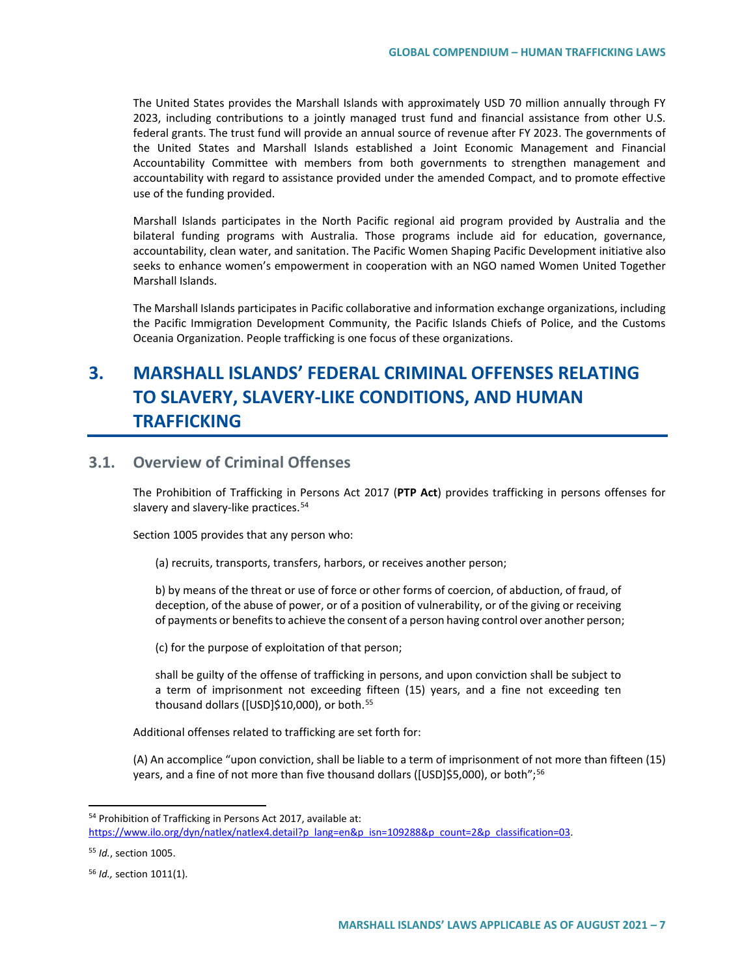The United States provides the Marshall Islands with approximately USD 70 million annually through FY 2023, including contributions to a jointly managed trust fund and financial assistance from other U.S. federal grants. The trust fund will provide an annual source of revenue after FY 2023. The governments of the United States and Marshall Islands established a Joint Economic Management and Financial Accountability Committee with members from both governments to strengthen management and accountability with regard to assistance provided under the amended Compact, and to promote effective use of the funding provided.

Marshall Islands participates in the North Pacific regional aid program provided by Australia and the bilateral funding programs with Australia. Those programs include aid for education, governance, accountability, clean water, and sanitation. The Pacific Women Shaping Pacific Development initiative also seeks to enhance women's empowerment in cooperation with an NGO named Women United Together Marshall Islands.

The Marshall Islands participates in Pacific collaborative and information exchange organizations, including the Pacific Immigration Development Community, the Pacific Islands Chiefs of Police, and the Customs Oceania Organization. People trafficking is one focus of these organizations.

# **3. MARSHALL ISLANDS' FEDERAL CRIMINAL OFFENSES RELATING TO SLAVERY, SLAVERY-LIKE CONDITIONS, AND HUMAN TRAFFICKING**

## **3.1. Overview of Criminal Offenses**

The Prohibition of Trafficking in Persons Act 2017 (**PTP Act**) provides trafficking in persons offenses for slavery and slavery-like practices.<sup>[54](#page-6-0)</sup>

Section 1005 provides that any person who:

(a) recruits, transports, transfers, harbors, or receives another person;

b) by means of the threat or use of force or other forms of coercion, of abduction, of fraud, of deception, of the abuse of power, or of a position of vulnerability, or of the giving or receiving of payments or benefits to achieve the consent of a person having control over another person;

(c) for the purpose of exploitation of that person;

shall be guilty of the offense of trafficking in persons, and upon conviction shall be subject to a term of imprisonment not exceeding fifteen (15) years, and a fine not exceeding ten thousand dollars ([USD]\$10,000), or both.<sup>[55](#page-6-1)</sup>

Additional offenses related to trafficking are set forth for:

(A) An accomplice "upon conviction, shall be liable to a term of imprisonment of not more than fifteen (15) years, and a fine of not more than five thousand dollars ([USD]\$5,000), or both";<sup>[56](#page-6-2)</sup>

<span id="page-6-0"></span> <sup>54</sup> Prohibition of Trafficking in Persons Act 2017, available at: https://www.ilo.org/dyn/natlex/natlex4.detail?p\_lang=en&p\_isn=109288&p\_count=2&p\_classification=03.

<span id="page-6-1"></span><sup>55</sup> *Id.*, section 1005.

<span id="page-6-2"></span><sup>56</sup> *Id.,* section 1011(1).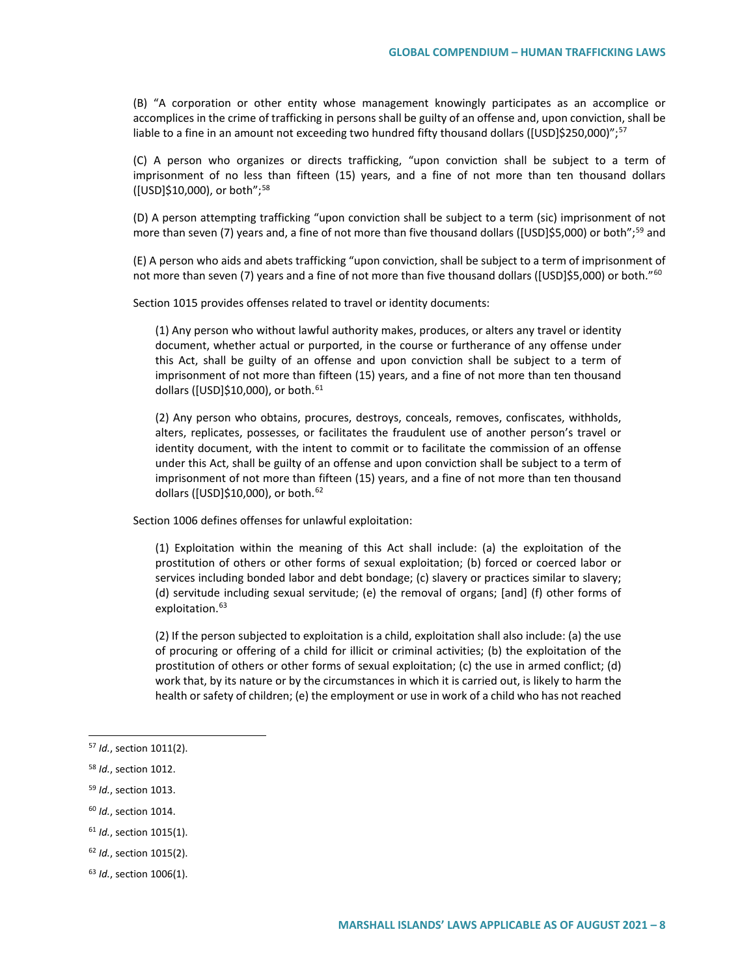(B) "A corporation or other entity whose management knowingly participates as an accomplice or accomplices in the crime of trafficking in persons shall be guilty of an offense and, upon conviction, shall be liable to a fine in an amount not exceeding two hundred fifty thousand dollars ([USD]\$250,000)";<sup>[57](#page-7-0)</sup>

(C) A person who organizes or directs trafficking, "upon conviction shall be subject to a term of imprisonment of no less than fifteen (15) years, and a fine of not more than ten thousand dollars ([USD]\$10,000), or both";[58](#page-7-1)

(D) A person attempting trafficking "upon conviction shall be subject to a term (sic) imprisonment of not more than seven (7) years and, a fine of not more than five thousand dollars ([USD]\$5,000) or both";<sup>[59](#page-7-2)</sup> and

(E) A person who aids and abets trafficking "upon conviction, shall be subject to a term of imprisonment of not more than seven (7) years and a fine of not more than five thousand dollars ([USD]\$5,000) or both."<sup>60</sup>

Section 1015 provides offenses related to travel or identity documents:

(1) Any person who without lawful authority makes, produces, or alters any travel or identity document, whether actual or purported, in the course or furtherance of any offense under this Act, shall be guilty of an offense and upon conviction shall be subject to a term of imprisonment of not more than fifteen (15) years, and a fine of not more than ten thousand dollars ([USD]\$10,000), or both. $61$ 

(2) Any person who obtains, procures, destroys, conceals, removes, confiscates, withholds, alters, replicates, possesses, or facilitates the fraudulent use of another person's travel or identity document, with the intent to commit or to facilitate the commission of an offense under this Act, shall be guilty of an offense and upon conviction shall be subject to a term of imprisonment of not more than fifteen (15) years, and a fine of not more than ten thousand dollars ([USD]\$10,000), or both.[62](#page-7-5)

Section 1006 defines offenses for unlawful exploitation:

(1) Exploitation within the meaning of this Act shall include: (a) the exploitation of the prostitution of others or other forms of sexual exploitation; (b) forced or coerced labor or services including bonded labor and debt bondage; (c) slavery or practices similar to slavery; (d) servitude including sexual servitude; (e) the removal of organs; [and] (f) other forms of exploitation.<sup>[63](#page-7-6)</sup>

(2) If the person subjected to exploitation is a child, exploitation shall also include: (a) the use of procuring or offering of a child for illicit or criminal activities; (b) the exploitation of the prostitution of others or other forms of sexual exploitation; (c) the use in armed conflict; (d) work that, by its nature or by the circumstances in which it is carried out, is likely to harm the health or safety of children; (e) the employment or use in work of a child who has not reached

- <span id="page-7-1"></span><sup>58</sup> *Id.*, section 1012.
- <span id="page-7-2"></span><sup>59</sup> *Id.*, section 1013.
- <span id="page-7-3"></span><sup>60</sup> *Id.*, section 1014.
- <span id="page-7-4"></span><sup>61</sup> *Id.*, section 1015(1).
- <span id="page-7-5"></span><sup>62</sup> *Id.*, section 1015(2).
- <span id="page-7-6"></span><sup>63</sup> *Id.*, section 1006(1).

<span id="page-7-0"></span> <sup>57</sup> *Id.*, section 1011(2).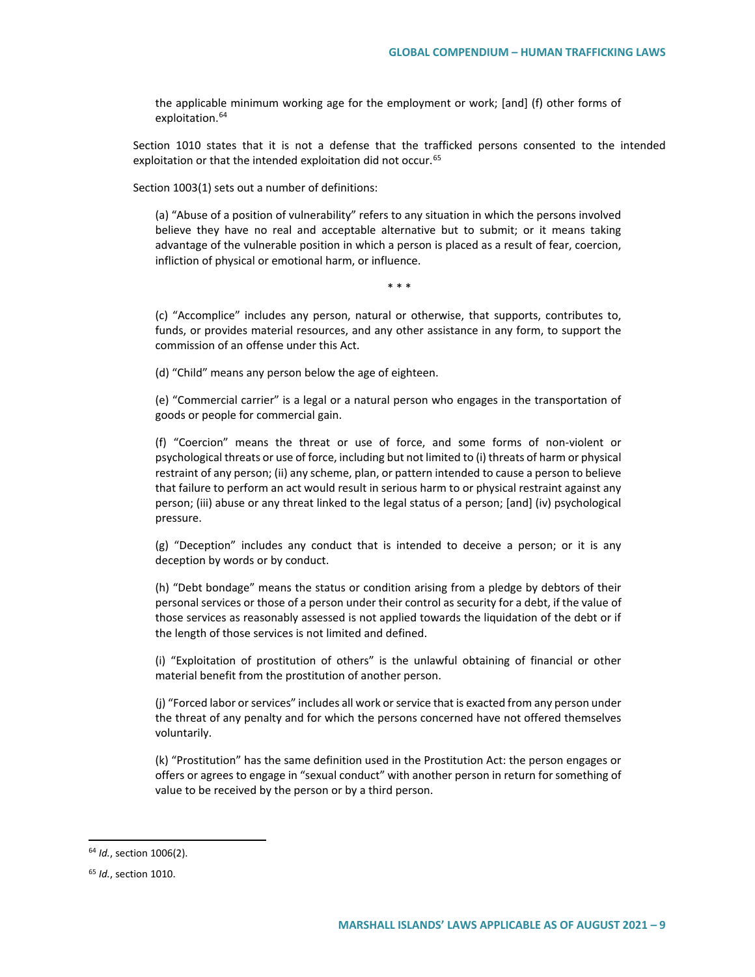the applicable minimum working age for the employment or work; [and] (f) other forms of exploitation.<sup>[64](#page-8-0)</sup>

Section 1010 states that it is not a defense that the trafficked persons consented to the intended exploitation or that the intended exploitation did not occur.<sup>[65](#page-8-1)</sup>

Section 1003(1) sets out a number of definitions:

(a) "Abuse of a position of vulnerability" refers to any situation in which the persons involved believe they have no real and acceptable alternative but to submit; or it means taking advantage of the vulnerable position in which a person is placed as a result of fear, coercion, infliction of physical or emotional harm, or influence.

\* \* \*

(c) "Accomplice" includes any person, natural or otherwise, that supports, contributes to, funds, or provides material resources, and any other assistance in any form, to support the commission of an offense under this Act.

(d) "Child" means any person below the age of eighteen.

(e) "Commercial carrier" is a legal or a natural person who engages in the transportation of goods or people for commercial gain.

(f) "Coercion" means the threat or use of force, and some forms of non-violent or psychological threats or use of force, including but not limited to (i) threats of harm or physical restraint of any person; (ii) any scheme, plan, or pattern intended to cause a person to believe that failure to perform an act would result in serious harm to or physical restraint against any person; (iii) abuse or any threat linked to the legal status of a person; [and] (iv) psychological pressure.

(g) "Deception" includes any conduct that is intended to deceive a person; or it is any deception by words or by conduct.

(h) "Debt bondage" means the status or condition arising from a pledge by debtors of their personal services or those of a person under their control as security for a debt, if the value of those services as reasonably assessed is not applied towards the liquidation of the debt or if the length of those services is not limited and defined.

(i) "Exploitation of prostitution of others" is the unlawful obtaining of financial or other material benefit from the prostitution of another person.

(j) "Forced labor or services" includes all work or service that is exacted from any person under the threat of any penalty and for which the persons concerned have not offered themselves voluntarily.

(k) "Prostitution" has the same definition used in the Prostitution Act: the person engages or offers or agrees to engage in "sexual conduct" with another person in return for something of value to be received by the person or by a third person.

<span id="page-8-0"></span> <sup>64</sup> *Id.*, section 1006(2).

<span id="page-8-1"></span><sup>65</sup> *Id.*, section 1010.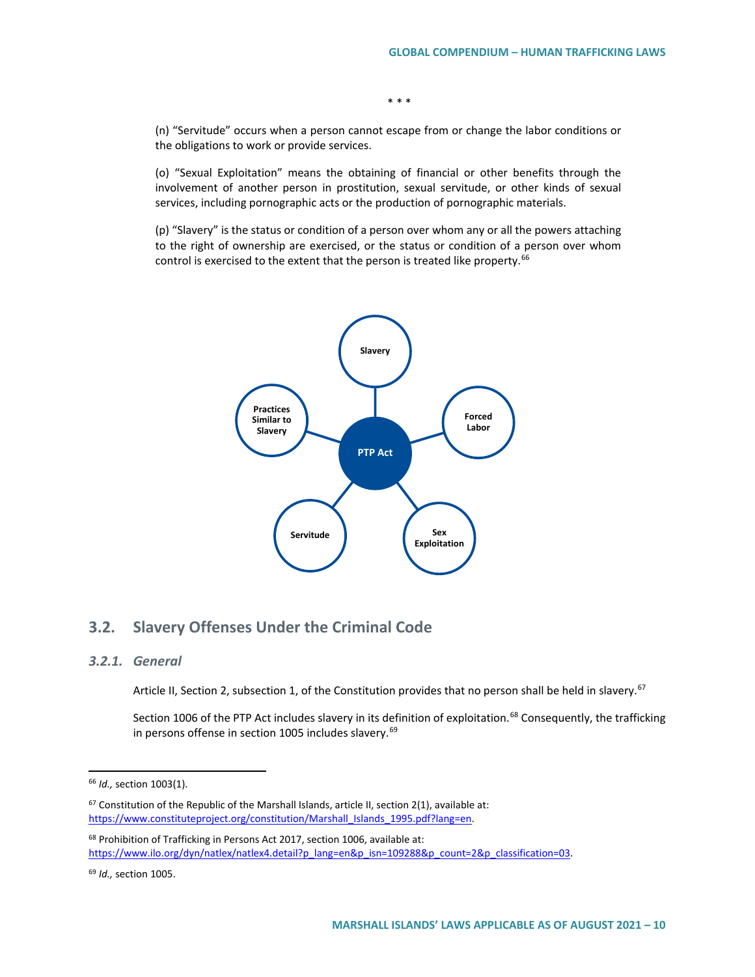(n) "Servitude" occurs when a person cannot escape from or change the labor conditions or the obligations to work or provide services.

\* \* \*

(o) "Sexual Exploitation" means the obtaining of financial or other benefits through the involvement of another person in prostitution, sexual servitude, or other kinds of sexual services, including pornographic acts or the production of pornographic materials.

(p) "Slavery" is the status or condition of a person over whom any or all the powers attaching to the right of ownership are exercised, or the status or condition of a person over whom control is exercised to the extent that the person is treated like property.<sup>[66](#page-9-0)</sup>



## **3.2. Slavery Offenses Under the Criminal Code**

#### *3.2.1. General*

Article II, Section 2, subsection 1, of the Constitution provides that no person shall be held in slavery.<sup>[67](#page-9-1)</sup>

Section 1006 of the PTP Act includes slavery in its definition of exploitation.<sup>[68](#page-9-2)</sup> Consequently, the trafficking in persons offense in section 1005 includes slavery.<sup>[69](#page-9-3)</sup>

<span id="page-9-2"></span>68 Prohibition of Trafficking in Persons Act 2017, section 1006, available at: https://www.ilo.org/dyn/natlex/natlex4.detail?p\_lang=en&p\_isn=109288&p\_count=2&p\_classification=03.

<span id="page-9-0"></span> <sup>66</sup> *Id.,* section 1003(1).

<span id="page-9-1"></span> $67$  Constitution of the Republic of the Marshall Islands, article II, section 2(1), available at: https://www.constituteproject.org/constitution/Marshall\_Islands\_1995.pdf?lang=en.

<span id="page-9-3"></span><sup>69</sup> *Id.,* section 1005.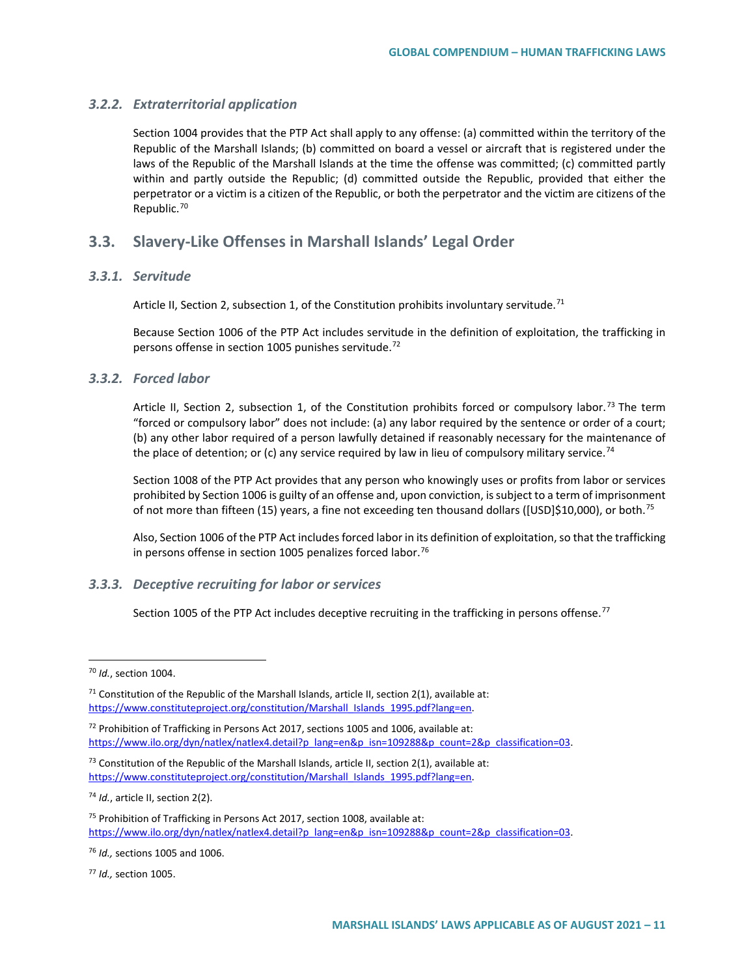#### *3.2.2. Extraterritorial application*

Section 1004 provides that the PTP Act shall apply to any offense: (a) committed within the territory of the Republic of the Marshall Islands; (b) committed on board a vessel or aircraft that is registered under the laws of the Republic of the Marshall Islands at the time the offense was committed; (c) committed partly within and partly outside the Republic; (d) committed outside the Republic, provided that either the perpetrator or a victim is a citizen of the Republic, or both the perpetrator and the victim are citizens of the Republic.[70](#page-10-0)

### **3.3. Slavery-Like Offenses in Marshall Islands' Legal Order**

#### *3.3.1. Servitude*

Article II, Section 2, subsection 1, of the Constitution prohibits involuntary servitude.<sup>71</sup>

Because Section 1006 of the PTP Act includes servitude in the definition of exploitation, the trafficking in persons offense in section 1005 punishes servitude.<sup>[72](#page-10-2)</sup>

#### *3.3.2. Forced labor*

Article II, Section 2, subsection 1, of the Constitution prohibits forced or compulsory labor.<sup>[73](#page-10-3)</sup> The term "forced or compulsory labor" does not include: (a) any labor required by the sentence or order of a court; (b) any other labor required of a person lawfully detained if reasonably necessary for the maintenance of the place of detention; or (c) any service required by law in lieu of compulsory military service.<sup>[74](#page-10-4)</sup>

Section 1008 of the PTP Act provides that any person who knowingly uses or profits from labor or services prohibited by Section 1006 is guilty of an offense and, upon conviction, is subject to a term of imprisonment of not more than fifteen (15) years, a fine not exceeding ten thousand dollars ([USD]\$10,000), or both.<sup>[75](#page-10-5)</sup>

Also, Section 1006 of the PTP Act includes forced labor in its definition of exploitation, so that the trafficking in persons offense in section 1005 penalizes forced labor.<sup>[76](#page-10-6)</sup>

#### *3.3.3. Deceptive recruiting for labor or services*

Section 1005 of the PTP Act includes deceptive recruiting in the trafficking in persons offense.<sup>[77](#page-10-7)</sup>

<span id="page-10-4"></span><sup>74</sup> *Id.*, article II, section 2(2).

<span id="page-10-0"></span> <sup>70</sup> *Id.*, section 1004.

<span id="page-10-1"></span> $71$  Constitution of the Republic of the Marshall Islands, article II, section 2(1), available at: https://www.constituteproject.org/constitution/Marshall\_Islands\_1995.pdf?lang=en.

<span id="page-10-2"></span><sup>72</sup> Prohibition of Trafficking in Persons Act 2017, sections 1005 and 1006, available at: https://www.ilo.org/dyn/natlex/natlex4.detail?p\_lang=en&p\_isn=109288&p\_count=2&p\_classification=03.

<span id="page-10-3"></span> $73$  Constitution of the Republic of the Marshall Islands, article II, section 2(1), available at: https://www.constituteproject.org/constitution/Marshall\_Islands\_1995.pdf?lang=en.

<span id="page-10-5"></span><sup>75</sup> Prohibition of Trafficking in Persons Act 2017, section 1008, available at: https://www.ilo.org/dyn/natlex/natlex4.detail?p\_lang=en&p\_isn=109288&p\_count=2&p\_classification=03.

<span id="page-10-6"></span><sup>76</sup> *Id.,* sections 1005 and 1006.

<span id="page-10-7"></span><sup>77</sup> *Id.,* section 1005.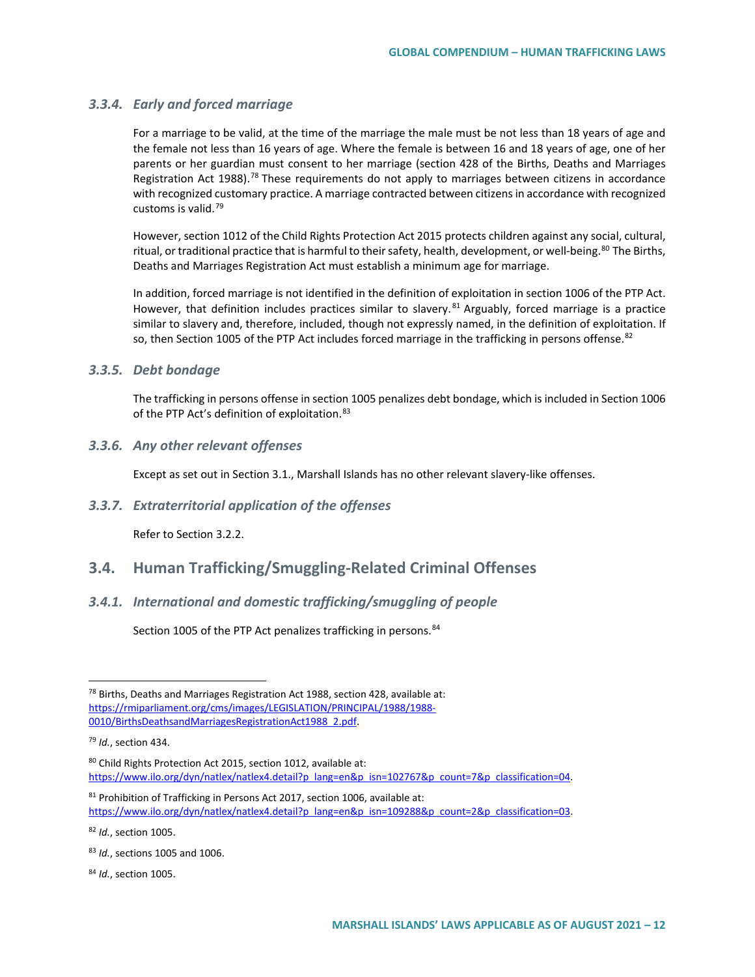#### *3.3.4. Early and forced marriage*

For a marriage to be valid, at the time of the marriage the male must be not less than 18 years of age and the female not less than 16 years of age. Where the female is between 16 and 18 years of age, one of her parents or her guardian must consent to her marriage (section 428 of the Births, Deaths and Marriages Registration Act 1988).<sup>[78](#page-11-0)</sup> These requirements do not apply to marriages between citizens in accordance with recognized customary practice. A marriage contracted between citizens in accordance with recognized customs is valid.[79](#page-11-1)

However, section 1012 of the Child Rights Protection Act 2015 protects children against any social, cultural, ritual, or traditional practice that is harmful to their safety, health, development, or well-being.<sup>[80](#page-11-2)</sup> The Births, Deaths and Marriages Registration Act must establish a minimum age for marriage.

In addition, forced marriage is not identified in the definition of exploitation in section 1006 of the PTP Act. However, that definition includes practices similar to slavery.  $81$  Arguably, forced marriage is a practice similar to slavery and, therefore, included, though not expressly named, in the definition of exploitation. If so, then Section 1005 of the PTP Act includes forced marriage in the trafficking in persons offense.<sup>[82](#page-11-4)</sup>

#### *3.3.5. Debt bondage*

The trafficking in persons offense in section 1005 penalizes debt bondage, which is included in Section 1006 of the PTP Act's definition of exploitation. [83](#page-11-5)

#### *3.3.6. Any other relevant offenses*

Except as set out in Section 3.1., Marshall Islands has no other relevant slavery-like offenses.

#### *3.3.7. Extraterritorial application of the offenses*

Refer to Section 3.2.2.

## **3.4. Human Trafficking/Smuggling-Related Criminal Offenses**

#### *3.4.1. International and domestic trafficking/smuggling of people*

Section 1005 of the PTP Act penalizes trafficking in persons.<sup>[84](#page-11-6)</sup>

<span id="page-11-4"></span><sup>82</sup> *Id.*, section 1005.

<span id="page-11-0"></span> $78$  Births, Deaths and Marriages Registration Act 1988, section 428, available at: [https://rmiparliament.org/cms/images/LEGISLATION/PRINCIPAL/1988/1988-](https://rmiparliament.org/cms/images/LEGISLATION/PRINCIPAL/1988/1988-0010/BirthsDeathsandMarriagesRegistrationAct1988_2.pdf) [0010/BirthsDeathsandMarriagesRegistrationAct1988\\_2.pdf.](https://rmiparliament.org/cms/images/LEGISLATION/PRINCIPAL/1988/1988-0010/BirthsDeathsandMarriagesRegistrationAct1988_2.pdf) 

<span id="page-11-1"></span><sup>79</sup> *Id.*, section 434.

<span id="page-11-2"></span><sup>80</sup> Child Rights Protection Act 2015, section 1012, available at: https://www.ilo.org/dyn/natlex/natlex4.detail?p\_lang=en&p\_isn=102767&p\_count=7&p\_classification=04.

<span id="page-11-3"></span><sup>81</sup> Prohibition of Trafficking in Persons Act 2017, section 1006, available at: https://www.ilo.org/dyn/natlex/natlex4.detail?p\_lang=en&p\_isn=109288&p\_count=2&p\_classification=03.

<span id="page-11-5"></span><sup>83</sup> *Id.*, sections 1005 and 1006.

<span id="page-11-6"></span><sup>84</sup> *Id.*, section 1005.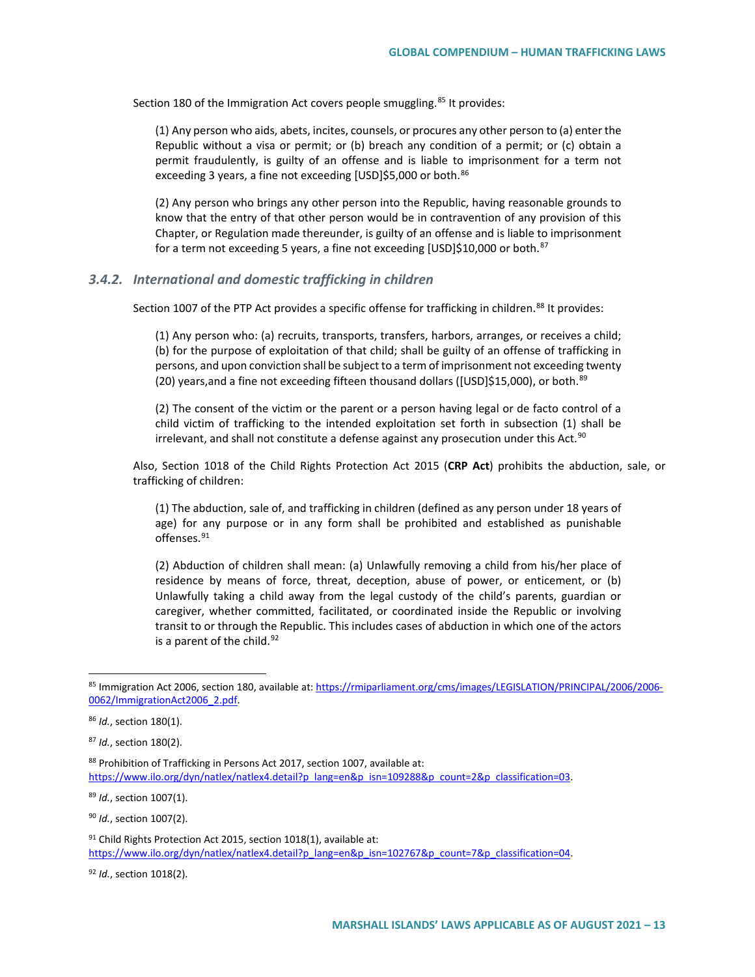Section 180 of the Immigration Act covers people smuggling.<sup>[85](#page-12-0)</sup> It provides:

(1) Any person who aids, abets, incites, counsels, or procures any other person to (a) enter the Republic without a visa or permit; or (b) breach any condition of a permit; or (c) obtain a permit fraudulently, is guilty of an offense and is liable to imprisonment for a term not exceeding 3 years, a fine not exceeding [USD]\$5,000 or both.<sup>[86](#page-12-1)</sup>

(2) Any person who brings any other person into the Republic, having reasonable grounds to know that the entry of that other person would be in contravention of any provision of this Chapter, or Regulation made thereunder, is guilty of an offense and is liable to imprisonment for a term not exceeding 5 years, a fine not exceeding [USD]\$10,000 or both.<sup>[87](#page-12-2)</sup>

#### *3.4.2. International and domestic trafficking in children*

Section 1007 of the PTP Act provides a specific offense for trafficking in children.<sup>[88](#page-12-3)</sup> It provides:

(1) Any person who: (a) recruits, transports, transfers, harbors, arranges, or receives a child; (b) for the purpose of exploitation of that child; shall be guilty of an offense of trafficking in persons, and upon conviction shall be subject to a term of imprisonment not exceeding twenty (20) years, and a fine not exceeding fifteen thousand dollars ([USD]\$15,000), or both.<sup>[89](#page-12-4)</sup>

(2) The consent of the victim or the parent or a person having legal or de facto control of a child victim of trafficking to the intended exploitation set forth in subsection (1) shall be irrelevant, and shall not constitute a defense against any prosecution under this Act.<sup>[90](#page-12-5)</sup>

Also, Section 1018 of the Child Rights Protection Act 2015 (**CRP Act**) prohibits the abduction, sale, or trafficking of children:

(1) The abduction, sale of, and trafficking in children (defined as any person under 18 years of age) for any purpose or in any form shall be prohibited and established as punishable offenses.<sup>[91](#page-12-6)</sup>

(2) Abduction of children shall mean: (a) Unlawfully removing a child from his/her place of residence by means of force, threat, deception, abuse of power, or enticement, or (b) Unlawfully taking a child away from the legal custody of the child's parents, guardian or caregiver, whether committed, facilitated, or coordinated inside the Republic or involving transit to or through the Republic. This includes cases of abduction in which one of the actors is a parent of the child.  $92$ 

<span id="page-12-4"></span><sup>89</sup> *Id.*, section 1007(1).

<span id="page-12-5"></span><sup>90</sup> *Id.*, section 1007(2).

<span id="page-12-6"></span> $91$  Child Rights Protection Act 2015, section 1018(1), available at: https://www.ilo.org/dyn/natlex/natlex4.detail?p\_lang=en&p\_isn=102767&p\_count=7&p\_classification=04.

<span id="page-12-7"></span><sup>92</sup> *Id.*, section 1018(2).

<span id="page-12-0"></span><sup>85</sup> Immigration Act 2006, section 180, available at[: https://rmiparliament.org/cms/images/LEGISLATION/PRINCIPAL/2006/2006-](https://rmiparliament.org/cms/images/LEGISLATION/PRINCIPAL/2006/2006-0062/ImmigrationAct2006_2.pdf) [0062/ImmigrationAct2006\\_2.pdf.](https://rmiparliament.org/cms/images/LEGISLATION/PRINCIPAL/2006/2006-0062/ImmigrationAct2006_2.pdf) 

<span id="page-12-1"></span><sup>86</sup> *Id.*, section 180(1).

<span id="page-12-2"></span><sup>87</sup> *Id.*, section 180(2).

<span id="page-12-3"></span><sup>88</sup> Prohibition of Trafficking in Persons Act 2017, section 1007, available at: https://www.ilo.org/dyn/natlex/natlex4.detail?p\_lang=en&p\_isn=109288&p\_count=2&p\_classification=03.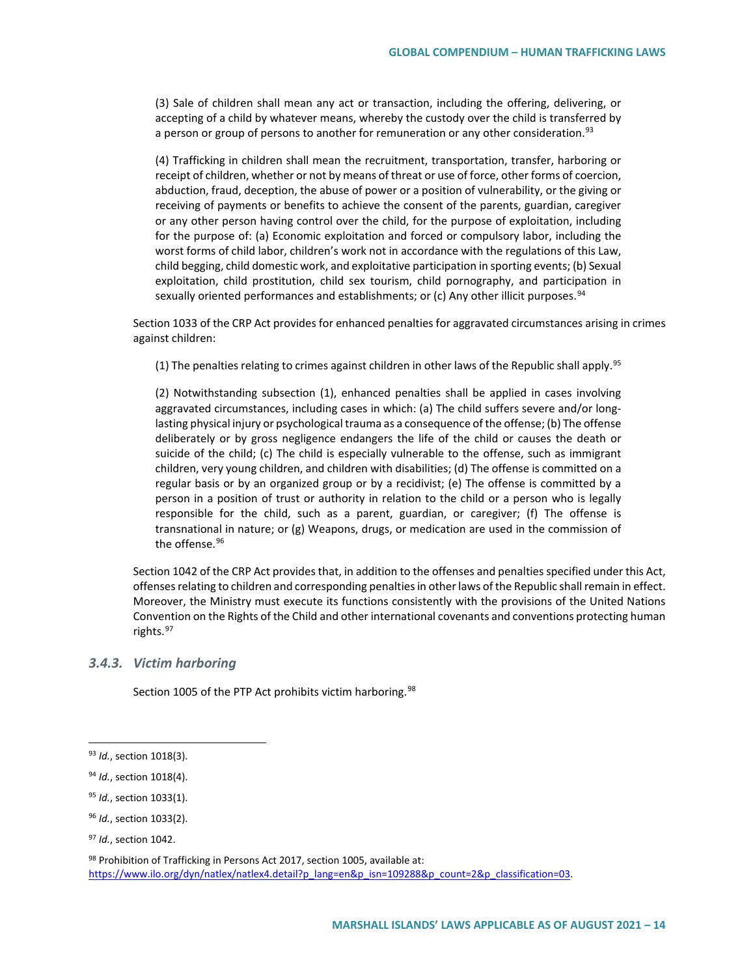(3) Sale of children shall mean any act or transaction, including the offering, delivering, or accepting of a child by whatever means, whereby the custody over the child is transferred by a person or group of persons to another for remuneration or any other consideration.<sup>[93](#page-13-0)</sup>

(4) Trafficking in children shall mean the recruitment, transportation, transfer, harboring or receipt of children, whether or not by means of threat or use of force, other forms of coercion, abduction, fraud, deception, the abuse of power or a position of vulnerability, or the giving or receiving of payments or benefits to achieve the consent of the parents, guardian, caregiver or any other person having control over the child, for the purpose of exploitation, including for the purpose of: (a) Economic exploitation and forced or compulsory labor, including the worst forms of child labor, children's work not in accordance with the regulations of this Law, child begging, child domestic work, and exploitative participation in sporting events; (b) Sexual exploitation, child prostitution, child sex tourism, child pornography, and participation in sexually oriented performances and establishments; or (c) Any other illicit purposes.  $94$ 

Section 1033 of the CRP Act provides for enhanced penalties for aggravated circumstances arising in crimes against children:

(1) The penalties relating to crimes against children in other laws of the Republic shall apply.<sup>95</sup>

(2) Notwithstanding subsection (1), enhanced penalties shall be applied in cases involving aggravated circumstances, including cases in which: (a) The child suffers severe and/or longlasting physical injury or psychological trauma as a consequence of the offense; (b) The offense deliberately or by gross negligence endangers the life of the child or causes the death or suicide of the child; (c) The child is especially vulnerable to the offense, such as immigrant children, very young children, and children with disabilities; (d) The offense is committed on a regular basis or by an organized group or by a recidivist; (e) The offense is committed by a person in a position of trust or authority in relation to the child or a person who is legally responsible for the child, such as a parent, guardian, or caregiver; (f) The offense is transnational in nature; or (g) Weapons, drugs, or medication are used in the commission of the offense.<sup>[96](#page-13-3)</sup>

Section 1042 of the CRP Act provides that, in addition to the offenses and penalties specified under this Act, offenses relating to children and corresponding penalties in other laws of the Republic shall remain in effect. Moreover, the Ministry must execute its functions consistently with the provisions of the United Nations Convention on the Rights of the Child and other international covenants and conventions protecting human rights.<sup>[97](#page-13-4)</sup>

#### *3.4.3. Victim harboring*

Section 1005 of the PTP Act prohibits victim harboring.<sup>[98](#page-13-5)</sup>

<span id="page-13-0"></span> <sup>93</sup> *Id.*, section 1018(3).

<span id="page-13-1"></span><sup>94</sup> *Id.*, section 1018(4).

<span id="page-13-2"></span><sup>95</sup> *Id.*, section 1033(1).

<span id="page-13-3"></span><sup>96</sup> *Id.*, section 1033(2).

<span id="page-13-4"></span><sup>97</sup> *Id.*, section 1042.

<span id="page-13-5"></span><sup>98</sup> Prohibition of Trafficking in Persons Act 2017, section 1005, available at: https://www.ilo.org/dyn/natlex/natlex4.detail?p\_lang=en&p\_isn=109288&p\_count=2&p\_classification=03.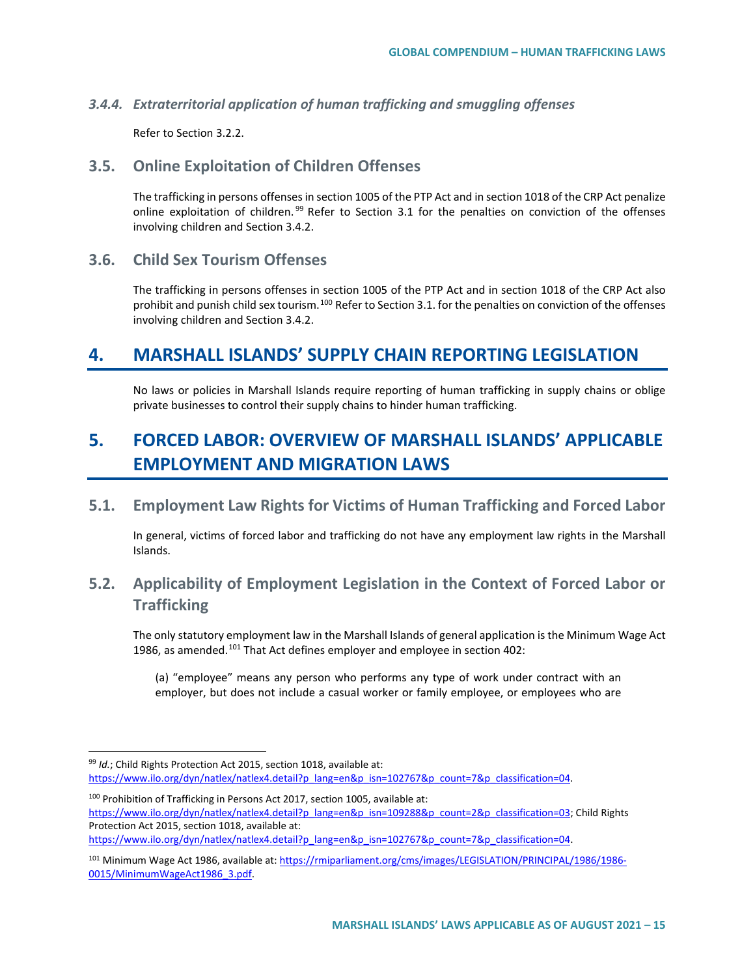#### *3.4.4. Extraterritorial application of human trafficking and smuggling offenses*

Refer to Section 3.2.2.

### **3.5. Online Exploitation of Children Offenses**

The trafficking in persons offenses in section 1005 of the PTP Act and in section 1018 of the CRP Act penalize online exploitation of children.<sup>[99](#page-14-0)</sup> Refer to Section 3.1 for the penalties on conviction of the offenses involving children and Section 3.4.2.

## **3.6. Child Sex Tourism Offenses**

The trafficking in persons offenses in section 1005 of the PTP Act and in section 1018 of the CRP Act also prohibit and punish child sex tourism.<sup>[100](#page-14-1)</sup> Refer to Section 3.1. for the penalties on conviction of the offenses involving children and Section 3.4.2.

## **4. MARSHALL ISLANDS' SUPPLY CHAIN REPORTING LEGISLATION**

No laws or policies in Marshall Islands require reporting of human trafficking in supply chains or oblige private businesses to control their supply chains to hinder human trafficking.

# **5. FORCED LABOR: OVERVIEW OF MARSHALL ISLANDS' APPLICABLE EMPLOYMENT AND MIGRATION LAWS**

**5.1. Employment Law Rights for Victims of Human Trafficking and Forced Labor**

In general, victims of forced labor and trafficking do not have any employment law rights in the Marshall Islands.

## **5.2. Applicability of Employment Legislation in the Context of Forced Labor or Trafficking**

The only statutory employment law in the Marshall Islands of general application is the Minimum Wage Act 1986, as amended.<sup>[101](#page-14-2)</sup> That Act defines employer and employee in section 402:

(a) "employee" means any person who performs any type of work under contract with an employer, but does not include a casual worker or family employee, or employees who are

<span id="page-14-0"></span> <sup>99</sup> *Id.*; Child Rights Protection Act 2015, section 1018, available at: https://www.ilo.org/dyn/natlex/natlex4.detail?p\_lang=en&p\_isn=102767&p\_count=7&p\_classification=04.

<span id="page-14-1"></span><sup>100</sup> Prohibition of Trafficking in Persons Act 2017, section 1005, available at: [https://www.ilo.org/dyn/natlex/natlex4.detail?p\\_lang=en&p\\_isn=109288&p\\_count=2&p\\_classification=03;](https://www.ilo.org/dyn/natlex/natlex4.detail?p_lang=en&p_isn=109288&p_count=2&p_classification=03) Child Rights Protection Act 2015, section 1018, available at:

https://www.ilo.org/dyn/natlex/natlex4.detail?p\_lang=en&p\_isn=102767&p\_count=7&p\_classification=04.

<span id="page-14-2"></span><sup>101</sup> Minimum Wage Act 1986, available at[: https://rmiparliament.org/cms/images/LEGISLATION/PRINCIPAL/1986/1986-](https://rmiparliament.org/cms/images/LEGISLATION/PRINCIPAL/1986/1986-0015/MinimumWageAct1986_3.pdf) [0015/MinimumWageAct1986\\_3.pdf.](https://rmiparliament.org/cms/images/LEGISLATION/PRINCIPAL/1986/1986-0015/MinimumWageAct1986_3.pdf)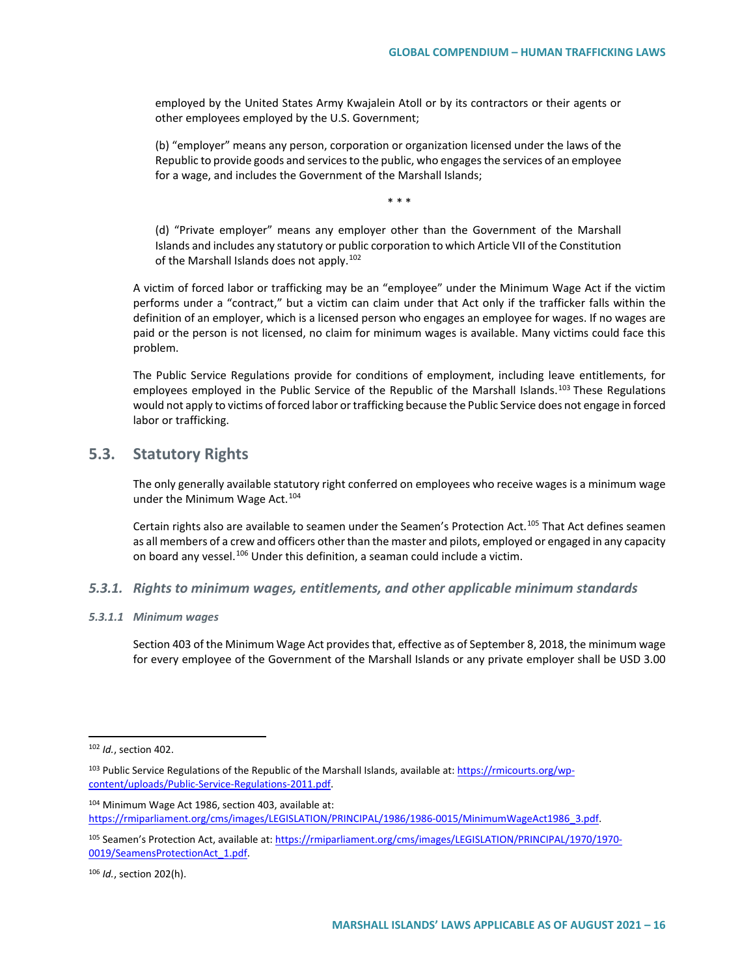employed by the United States Army Kwajalein Atoll or by its contractors or their agents or other employees employed by the U.S. Government;

(b) "employer" means any person, corporation or organization licensed under the laws of the Republic to provide goods and services to the public, who engages the services of an employee for a wage, and includes the Government of the Marshall Islands;

\* \* \*

(d) "Private employer" means any employer other than the Government of the Marshall Islands and includes any statutory or public corporation to which Article VII of the Constitution of the Marshall Islands does not apply.<sup>[102](#page-15-0)</sup>

A victim of forced labor or trafficking may be an "employee" under the Minimum Wage Act if the victim performs under a "contract," but a victim can claim under that Act only if the trafficker falls within the definition of an employer, which is a licensed person who engages an employee for wages. If no wages are paid or the person is not licensed, no claim for minimum wages is available. Many victims could face this problem.

The Public Service Regulations provide for conditions of employment, including leave entitlements, for employees employed in the Public Service of the Republic of the Marshall Islands.<sup>[103](#page-15-1)</sup> These Regulations would not apply to victims of forced labor or trafficking because the Public Service does not engage in forced labor or trafficking.

## **5.3. Statutory Rights**

The only generally available statutory right conferred on employees who receive wages is a minimum wage under the Minimum Wage Act.<sup>[104](#page-15-2)</sup>

Certain rights also are available to seamen under the Seamen's Protection Act.<sup>[105](#page-15-3)</sup> That Act defines seamen as all members of a crew and officers other than the master and pilots, employed or engaged in any capacity on board any vessel.<sup>[106](#page-15-4)</sup> Under this definition, a seaman could include a victim.

#### *5.3.1. Rights to minimum wages, entitlements, and other applicable minimum standards*

#### *5.3.1.1 Minimum wages*

Section 403 of the Minimum Wage Act provides that, effective as of September 8, 2018, the minimum wage for every employee of the Government of the Marshall Islands or any private employer shall be USD 3.00

<span id="page-15-0"></span> <sup>102</sup> *Id.*, section 402.

<span id="page-15-1"></span><sup>&</sup>lt;sup>103</sup> Public Service Regulations of the Republic of the Marshall Islands, available at: [https://rmicourts.org/wp](https://rmicourts.org/wp-content/uploads/Public-Service-Regulations-2011.pdf)[content/uploads/Public-Service-Regulations-2011.pdf.](https://rmicourts.org/wp-content/uploads/Public-Service-Regulations-2011.pdf) 

<span id="page-15-2"></span><sup>104</sup> Minimum Wage Act 1986, section 403, available at: [https://rmiparliament.org/cms/images/LEGISLATION/PRINCIPAL/1986/1986-0015/MinimumWageAct1986\\_3.pdf.](https://rmiparliament.org/cms/images/LEGISLATION/PRINCIPAL/1986/1986-0015/MinimumWageAct1986_3.pdf)

<span id="page-15-3"></span><sup>105</sup> Seamen's Protection Act, available at[: https://rmiparliament.org/cms/images/LEGISLATION/PRINCIPAL/1970/1970-](https://rmiparliament.org/cms/images/LEGISLATION/PRINCIPAL/1970/1970-0019/SeamensProtectionAct_1.pdf) [0019/SeamensProtectionAct\\_1.pdf.](https://rmiparliament.org/cms/images/LEGISLATION/PRINCIPAL/1970/1970-0019/SeamensProtectionAct_1.pdf) 

<span id="page-15-4"></span><sup>106</sup> *Id.*, section 202(h).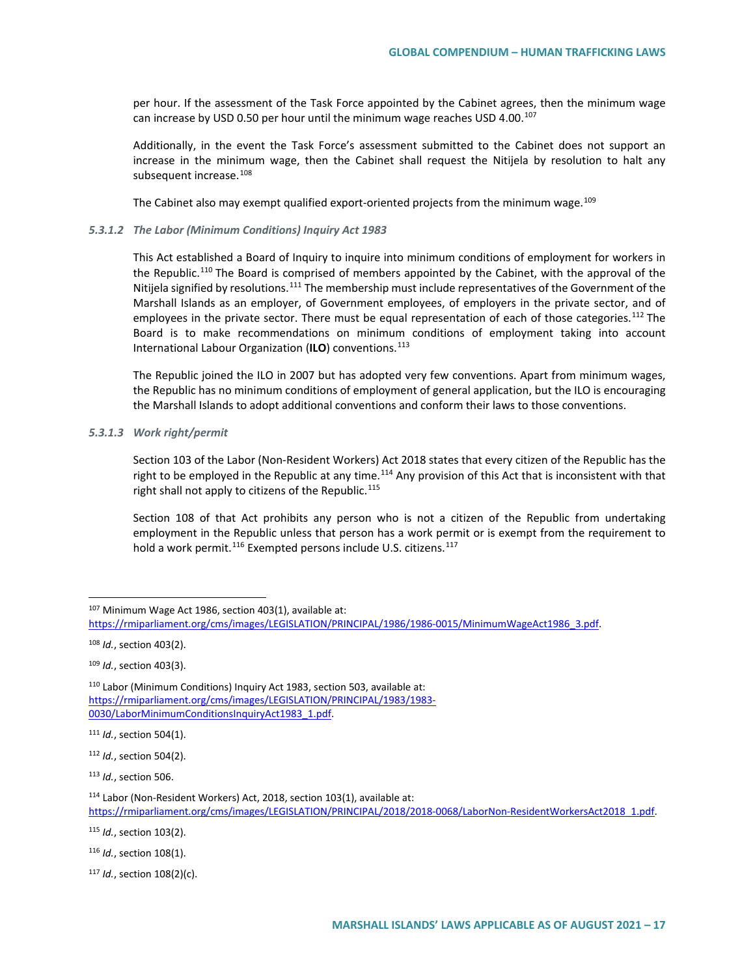per hour. If the assessment of the Task Force appointed by the Cabinet agrees, then the minimum wage can increase by USD 0.50 per hour until the minimum wage reaches USD 4.00.<sup>[107](#page-16-0)</sup>

Additionally, in the event the Task Force's assessment submitted to the Cabinet does not support an increase in the minimum wage, then the Cabinet shall request the Nitijela by resolution to halt any subsequent increase.<sup>[108](#page-16-1)</sup>

The Cabinet also may exempt qualified export-oriented projects from the minimum wage.<sup>[109](#page-16-2)</sup>

#### *5.3.1.2 The Labor (Minimum Conditions) Inquiry Act 1983*

This Act established a Board of Inquiry to inquire into minimum conditions of employment for workers in the Republic.<sup>[110](#page-16-3)</sup> The Board is comprised of members appointed by the Cabinet, with the approval of the Nitijela signified by resolutions.<sup>[111](#page-16-4)</sup> The membership must include representatives of the Government of the Marshall Islands as an employer, of Government employees, of employers in the private sector, and of employees in the private sector. There must be equal representation of each of those categories.<sup>[112](#page-16-5)</sup> The Board is to make recommendations on minimum conditions of employment taking into account International Labour Organization (**ILO**) conventions.[113](#page-16-6)

The Republic joined the ILO in 2007 but has adopted very few conventions. Apart from minimum wages, the Republic has no minimum conditions of employment of general application, but the ILO is encouraging the Marshall Islands to adopt additional conventions and conform their laws to those conventions.

#### *5.3.1.3 Work right/permit*

Section 103 of the Labor (Non-Resident Workers) Act 2018 states that every citizen of the Republic has the right to be employed in the Republic at any time.<sup>[114](#page-16-7)</sup> Any provision of this Act that is inconsistent with that right shall not apply to citizens of the Republic.<sup>115</sup>

Section 108 of that Act prohibits any person who is not a citizen of the Republic from undertaking employment in the Republic unless that person has a work permit or is exempt from the requirement to hold a work permit.<sup>[116](#page-16-9)</sup> Exempted persons include U.S. citizens.<sup>[117](#page-16-10)</sup>

<span id="page-16-8"></span><sup>115</sup> *Id.*, section 103(2).

<span id="page-16-10"></span><sup>117</sup> *Id.*, section 108(2)(c).

<span id="page-16-0"></span><sup>107</sup> Minimum Wage Act 1986, section 403(1), available at: [https://rmiparliament.org/cms/images/LEGISLATION/PRINCIPAL/1986/1986-0015/MinimumWageAct1986\\_3.pdf.](https://rmiparliament.org/cms/images/LEGISLATION/PRINCIPAL/1986/1986-0015/MinimumWageAct1986_3.pdf)

<span id="page-16-1"></span><sup>108</sup> *Id.*, section 403(2).

<span id="page-16-2"></span><sup>109</sup> *Id.*, section 403(3).

<span id="page-16-3"></span><sup>110</sup> Labor (Minimum Conditions) Inquiry Act 1983, section 503, available at: [https://rmiparliament.org/cms/images/LEGISLATION/PRINCIPAL/1983/1983-](https://rmiparliament.org/cms/images/LEGISLATION/PRINCIPAL/1983/1983-0030/LaborMinimumConditionsInquiryAct1983_1.pdf) [0030/LaborMinimumConditionsInquiryAct1983\\_1.pdf.](https://rmiparliament.org/cms/images/LEGISLATION/PRINCIPAL/1983/1983-0030/LaborMinimumConditionsInquiryAct1983_1.pdf)

<span id="page-16-4"></span><sup>111</sup> *Id.*, section 504(1).

<span id="page-16-5"></span><sup>112</sup> *Id.*, section 504(2).

<span id="page-16-6"></span><sup>113</sup> *Id.*, section 506.

<span id="page-16-7"></span><sup>114</sup> Labor (Non-Resident Workers) Act, 2018, section 103(1), available at: [https://rmiparliament.org/cms/images/LEGISLATION/PRINCIPAL/2018/2018-0068/LaborNon-ResidentWorkersAct2018\\_1.pdf.](https://rmiparliament.org/cms/images/LEGISLATION/PRINCIPAL/2018/2018-0068/LaborNon-ResidentWorkersAct2018_1.pdf)

<span id="page-16-9"></span><sup>116</sup> *Id.*, section 108(1).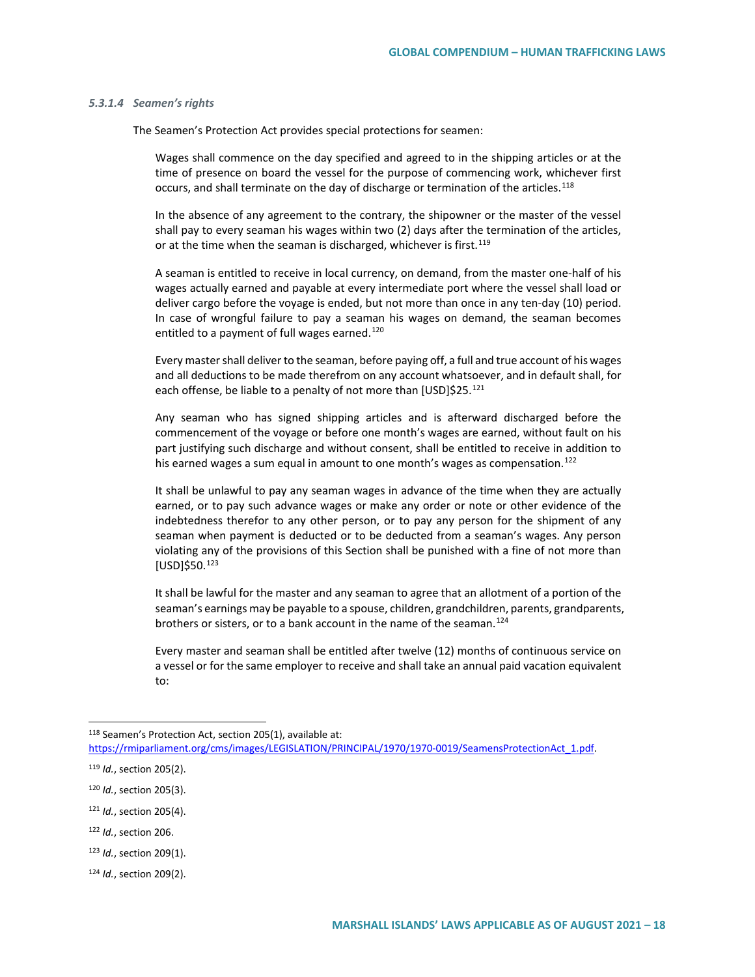#### *5.3.1.4 Seamen's rights*

The Seamen's Protection Act provides special protections for seamen:

Wages shall commence on the day specified and agreed to in the shipping articles or at the time of presence on board the vessel for the purpose of commencing work, whichever first occurs, and shall terminate on the day of discharge or termination of the articles.<sup>[118](#page-17-0)</sup>

In the absence of any agreement to the contrary, the shipowner or the master of the vessel shall pay to every seaman his wages within two (2) days after the termination of the articles, or at the time when the seaman is discharged, whichever is first.<sup>[119](#page-17-1)</sup>

A seaman is entitled to receive in local currency, on demand, from the master one-half of his wages actually earned and payable at every intermediate port where the vessel shall load or deliver cargo before the voyage is ended, but not more than once in any ten-day (10) period. In case of wrongful failure to pay a seaman his wages on demand, the seaman becomes entitled to a payment of full wages earned.<sup>[120](#page-17-2)</sup>

Every master shall deliver to the seaman, before paying off, a full and true account of his wages and all deductions to be made therefrom on any account whatsoever, and in default shall, for each offense, be liable to a penalty of not more than [USD]\$25.<sup>[121](#page-17-3)</sup>

Any seaman who has signed shipping articles and is afterward discharged before the commencement of the voyage or before one month's wages are earned, without fault on his part justifying such discharge and without consent, shall be entitled to receive in addition to his earned wages a sum equal in amount to one month's wages as compensation.<sup>[122](#page-17-4)</sup>

It shall be unlawful to pay any seaman wages in advance of the time when they are actually earned, or to pay such advance wages or make any order or note or other evidence of the indebtedness therefor to any other person, or to pay any person for the shipment of any seaman when payment is deducted or to be deducted from a seaman's wages. Any person violating any of the provisions of this Section shall be punished with a fine of not more than [USD]\$50.[123](#page-17-5)

It shall be lawful for the master and any seaman to agree that an allotment of a portion of the seaman's earnings may be payable to a spouse, children, grandchildren, parents, grandparents, brothers or sisters, or to a bank account in the name of the seaman.<sup>[124](#page-17-6)</sup>

Every master and seaman shall be entitled after twelve (12) months of continuous service on a vessel or for the same employer to receive and shall take an annual paid vacation equivalent to:

- <span id="page-17-4"></span><sup>122</sup> *Id.*, section 206.
- <span id="page-17-5"></span><sup>123</sup> *Id.*, section 209(1).

<span id="page-17-0"></span><sup>118</sup> Seamen's Protection Act, section 205(1), available at:

[https://rmiparliament.org/cms/images/LEGISLATION/PRINCIPAL/1970/1970-0019/SeamensProtectionAct\\_1.pdf.](https://rmiparliament.org/cms/images/LEGISLATION/PRINCIPAL/1970/1970-0019/SeamensProtectionAct_1.pdf)

<span id="page-17-1"></span><sup>119</sup> *Id.*, section 205(2).

<span id="page-17-2"></span><sup>120</sup> *Id.*, section 205(3).

<span id="page-17-3"></span><sup>121</sup> *Id.*, section 205(4).

<span id="page-17-6"></span><sup>124</sup> *Id.*, section 209(2).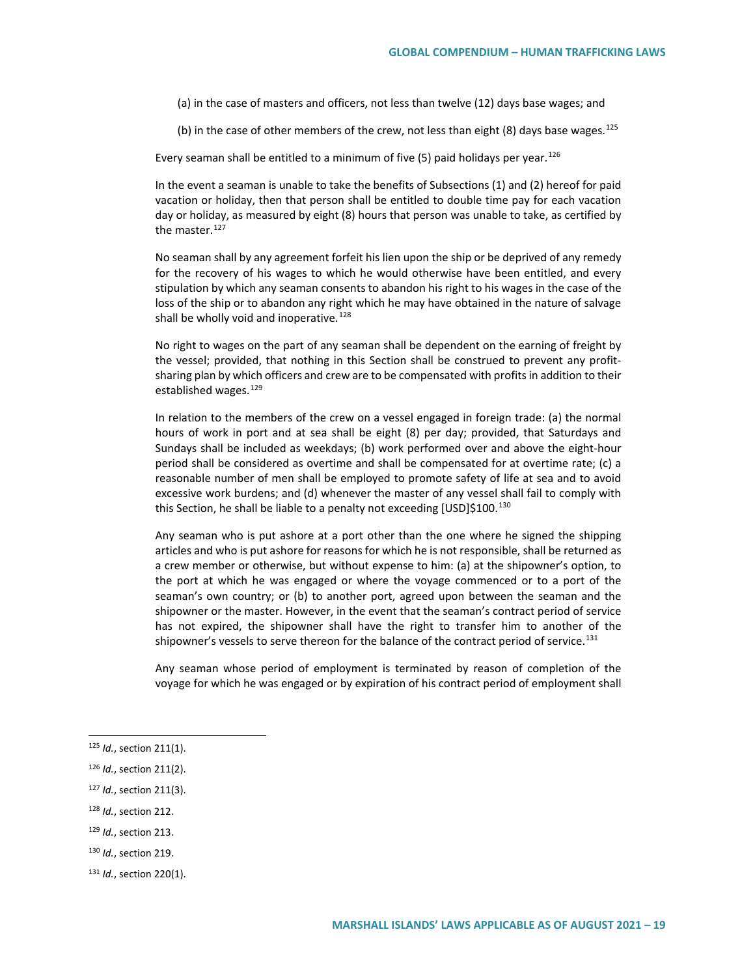(a) in the case of masters and officers, not less than twelve (12) days base wages; and

(b) in the case of other members of the crew, not less than eight (8) days base wages.<sup>[125](#page-18-0)</sup>

Every seaman shall be entitled to a minimum of five (5) paid holidays per year.<sup>[126](#page-18-1)</sup>

In the event a seaman is unable to take the benefits of Subsections (1) and (2) hereof for paid vacation or holiday, then that person shall be entitled to double time pay for each vacation day or holiday, as measured by eight (8) hours that person was unable to take, as certified by the master.<sup>[127](#page-18-2)</sup>

No seaman shall by any agreement forfeit his lien upon the ship or be deprived of any remedy for the recovery of his wages to which he would otherwise have been entitled, and every stipulation by which any seaman consents to abandon his right to his wages in the case of the loss of the ship or to abandon any right which he may have obtained in the nature of salvage shall be wholly void and inoperative.<sup>[128](#page-18-3)</sup>

No right to wages on the part of any seaman shall be dependent on the earning of freight by the vessel; provided, that nothing in this Section shall be construed to prevent any profitsharing plan by which officers and crew are to be compensated with profits in addition to their established wages.<sup>[129](#page-18-4)</sup>

In relation to the members of the crew on a vessel engaged in foreign trade: (a) the normal hours of work in port and at sea shall be eight (8) per day; provided, that Saturdays and Sundays shall be included as weekdays; (b) work performed over and above the eight-hour period shall be considered as overtime and shall be compensated for at overtime rate; (c) a reasonable number of men shall be employed to promote safety of life at sea and to avoid excessive work burdens; and (d) whenever the master of any vessel shall fail to comply with this Section, he shall be liable to a penalty not exceeding [USD]\$100.<sup>[130](#page-18-5)</sup>

Any seaman who is put ashore at a port other than the one where he signed the shipping articles and who is put ashore for reasons for which he is not responsible, shall be returned as a crew member or otherwise, but without expense to him: (a) at the shipowner's option, to the port at which he was engaged or where the voyage commenced or to a port of the seaman's own country; or (b) to another port, agreed upon between the seaman and the shipowner or the master. However, in the event that the seaman's contract period of service has not expired, the shipowner shall have the right to transfer him to another of the shipowner's vessels to serve thereon for the balance of the contract period of service.<sup>[131](#page-18-6)</sup>

Any seaman whose period of employment is terminated by reason of completion of the voyage for which he was engaged or by expiration of his contract period of employment shall

<span id="page-18-3"></span><sup>128</sup> *Id.*, section 212.

<span id="page-18-5"></span><sup>130</sup> *Id.*, section 219.

<span id="page-18-0"></span> <sup>125</sup> *Id.*, section 211(1).

<span id="page-18-1"></span><sup>126</sup> *Id.*, section 211(2).

<span id="page-18-2"></span><sup>127</sup> *Id.*, section 211(3).

<span id="page-18-4"></span><sup>129</sup> *Id.*, section 213.

<span id="page-18-6"></span><sup>131</sup> *Id.*, section 220(1).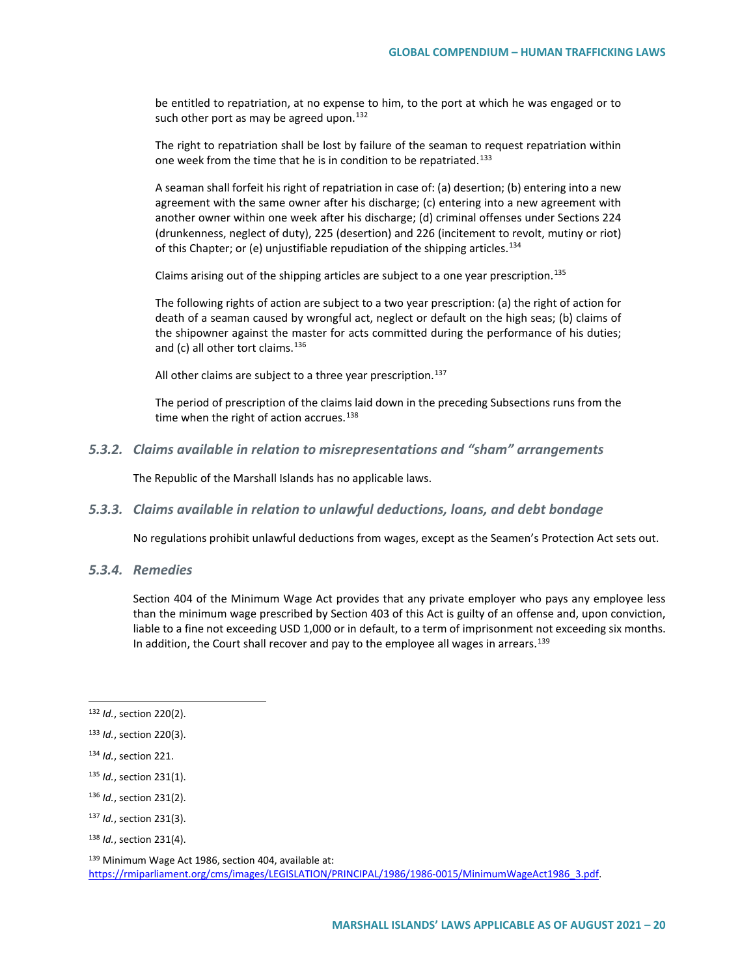be entitled to repatriation, at no expense to him, to the port at which he was engaged or to such other port as may be agreed upon.  $132$ 

The right to repatriation shall be lost by failure of the seaman to request repatriation within one week from the time that he is in condition to be repatriated.<sup>[133](#page-19-1)</sup>

A seaman shall forfeit his right of repatriation in case of: (a) desertion; (b) entering into a new agreement with the same owner after his discharge; (c) entering into a new agreement with another owner within one week after his discharge; (d) criminal offenses under Sections 224 (drunkenness, neglect of duty), 225 (desertion) and 226 (incitement to revolt, mutiny or riot) of this Chapter; or (e) unjustifiable repudiation of the shipping articles.<sup>[134](#page-19-2)</sup>

Claims arising out of the shipping articles are subject to a one year prescription.[135](#page-19-3)

The following rights of action are subject to a two year prescription: (a) the right of action for death of a seaman caused by wrongful act, neglect or default on the high seas; (b) claims of the shipowner against the master for acts committed during the performance of his duties; and (c) all other tort claims. $136$ 

All other claims are subject to a three year prescription.<sup>137</sup>

The period of prescription of the claims laid down in the preceding Subsections runs from the time when the right of action accrues.<sup>[138](#page-19-6)</sup>

*5.3.2. Claims available in relation to misrepresentations and "sham" arrangements*

The Republic of the Marshall Islands has no applicable laws.

*5.3.3. Claims available in relation to unlawful deductions, loans, and debt bondage*

No regulations prohibit unlawful deductions from wages, except as the Seamen's Protection Act sets out.

*5.3.4. Remedies*

Section 404 of the Minimum Wage Act provides that any private employer who pays any employee less than the minimum wage prescribed by Section 403 of this Act is guilty of an offense and, upon conviction, liable to a fine not exceeding USD 1,000 or in default, to a term of imprisonment not exceeding six months. In addition, the Court shall recover and pay to the employee all wages in arrears.<sup>[139](#page-19-7)</sup>

<span id="page-19-0"></span> <sup>132</sup> *Id.*, section 220(2).

<span id="page-19-1"></span><sup>133</sup> *Id.*, section 220(3).

<span id="page-19-2"></span><sup>134</sup> *Id.*, section 221.

<span id="page-19-3"></span><sup>135</sup> *Id.*, section 231(1).

<span id="page-19-4"></span><sup>136</sup> *Id.*, section 231(2).

<span id="page-19-5"></span><sup>137</sup> *Id.*, section 231(3).

<span id="page-19-6"></span><sup>138</sup> *Id.*, section 231(4).

<span id="page-19-7"></span><sup>139</sup> Minimum Wage Act 1986, section 404, available at: [https://rmiparliament.org/cms/images/LEGISLATION/PRINCIPAL/1986/1986-0015/MinimumWageAct1986\\_3.pdf.](https://rmiparliament.org/cms/images/LEGISLATION/PRINCIPAL/1986/1986-0015/MinimumWageAct1986_3.pdf)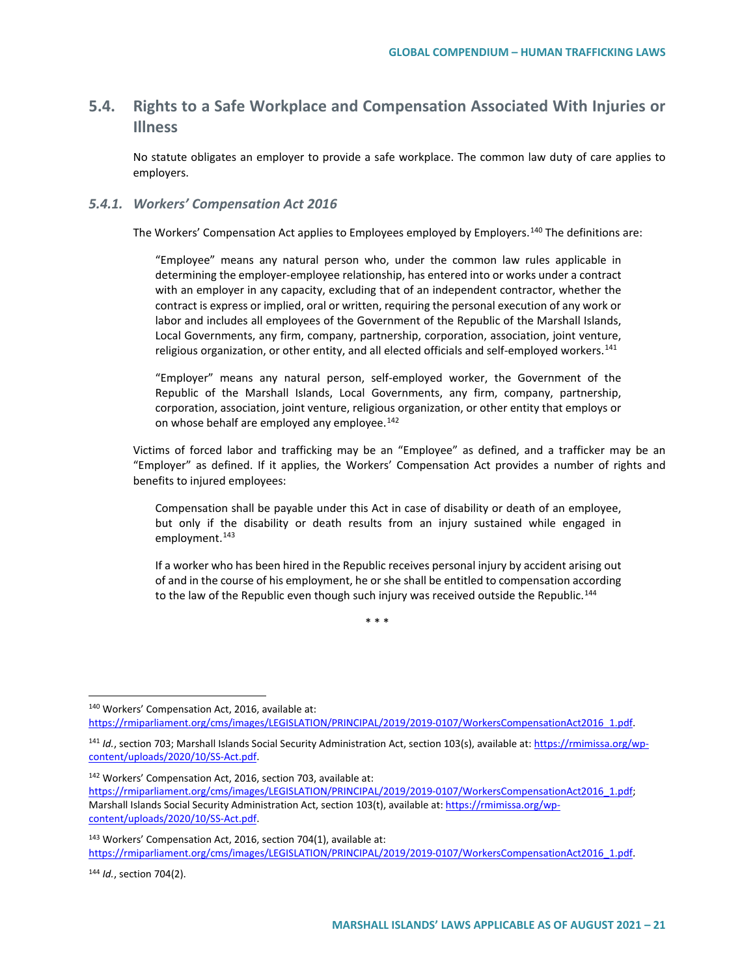## **5.4. Rights to a Safe Workplace and Compensation Associated With Injuries or Illness**

No statute obligates an employer to provide a safe workplace. The common law duty of care applies to employers.

#### *5.4.1. Workers' Compensation Act 2016*

The Workers' Compensation Act applies to Employees employed by Employers.[140](#page-20-0) The definitions are:

"Employee" means any natural person who, under the common law rules applicable in determining the employer-employee relationship, has entered into or works under a contract with an employer in any capacity, excluding that of an independent contractor, whether the contract is express or implied, oral or written, requiring the personal execution of any work or labor and includes all employees of the Government of the Republic of the Marshall Islands, Local Governments, any firm, company, partnership, corporation, association, joint venture, religious organization, or other entity, and all elected officials and self-employed workers.<sup>[141](#page-20-1)</sup>

"Employer" means any natural person, self-employed worker, the Government of the Republic of the Marshall Islands, Local Governments, any firm, company, partnership, corporation, association, joint venture, religious organization, or other entity that employs or on whose behalf are employed any employee.<sup>[142](#page-20-2)</sup>

Victims of forced labor and trafficking may be an "Employee" as defined, and a trafficker may be an "Employer" as defined. If it applies, the Workers' Compensation Act provides a number of rights and benefits to injured employees:

Compensation shall be payable under this Act in case of disability or death of an employee, but only if the disability or death results from an injury sustained while engaged in employment.<sup>[143](#page-20-3)</sup>

If a worker who has been hired in the Republic receives personal injury by accident arising out of and in the course of his employment, he or she shall be entitled to compensation according to the law of the Republic even though such injury was received outside the Republic.<sup>[144](#page-20-4)</sup>

\* \* \*

<span id="page-20-0"></span> 140 Workers' Compensation Act, 2016, available at: https://rmiparliament.org/cms/images/LEGISLATION/PRINCIPAL/2019/2019-0107/WorkersCompensationAct2016\_1.pdf.

<span id="page-20-2"></span><sup>142</sup> Workers' Compensation Act, 2016, section 703, available at:

[https://rmiparliament.org/cms/images/LEGISLATION/PRINCIPAL/2019/2019-0107/WorkersCompensationAct2016\\_1.pdf;](https://rmiparliament.org/cms/images/LEGISLATION/PRINCIPAL/2019/2019-0107/WorkersCompensationAct2016_1.pdf)  Marshall Islands Social Security Administration Act, section 103(t), available at[: https://rmimissa.org/wp](https://rmimissa.org/wp-content/uploads/2020/10/SS-Act.pdf)[content/uploads/2020/10/SS-Act.pdf.](https://rmimissa.org/wp-content/uploads/2020/10/SS-Act.pdf)

<span id="page-20-3"></span><sup>143</sup> Workers' Compensation Act, 2016, section 704(1), available at: [https://rmiparliament.org/cms/images/LEGISLATION/PRINCIPAL/2019/2019-0107/WorkersCompensationAct2016\\_1.pdf.](https://rmiparliament.org/cms/images/LEGISLATION/PRINCIPAL/2019/2019-0107/WorkersCompensationAct2016_1.pdf)

<span id="page-20-4"></span><sup>144</sup> *Id.*, section 704(2).

<span id="page-20-1"></span><sup>141</sup> *Id.*, section 703; Marshall Islands Social Security Administration Act, section 103(s), available at[: https://rmimissa.org/wp](https://rmimissa.org/wp-content/uploads/2020/10/SS-Act.pdf)[content/uploads/2020/10/SS-Act.pdf.](https://rmimissa.org/wp-content/uploads/2020/10/SS-Act.pdf)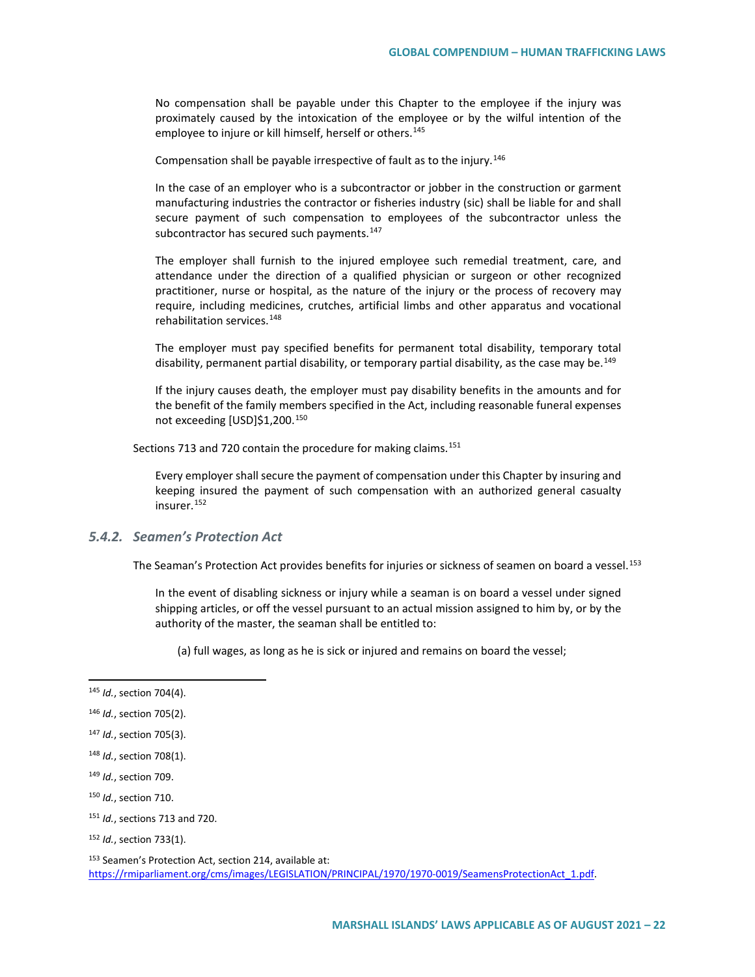No compensation shall be payable under this Chapter to the employee if the injury was proximately caused by the intoxication of the employee or by the wilful intention of the employee to injure or kill himself, herself or others.<sup>[145](#page-21-0)</sup>

Compensation shall be payable irrespective of fault as to the injury.<sup>[146](#page-21-1)</sup>

In the case of an employer who is a subcontractor or jobber in the construction or garment manufacturing industries the contractor or fisheries industry (sic) shall be liable for and shall secure payment of such compensation to employees of the subcontractor unless the subcontractor has secured such payments.<sup>[147](#page-21-2)</sup>

The employer shall furnish to the injured employee such remedial treatment, care, and attendance under the direction of a qualified physician or surgeon or other recognized practitioner, nurse or hospital, as the nature of the injury or the process of recovery may require, including medicines, crutches, artificial limbs and other apparatus and vocational rehabilitation services.<sup>[148](#page-21-3)</sup>

The employer must pay specified benefits for permanent total disability, temporary total disability, permanent partial disability, or temporary partial disability, as the case may be.<sup>[149](#page-21-4)</sup>

If the injury causes death, the employer must pay disability benefits in the amounts and for the benefit of the family members specified in the Act, including reasonable funeral expenses not exceeding [USD]\$1,200.[150](#page-21-5)

Sections 713 and 720 contain the procedure for making claims.<sup>[151](#page-21-6)</sup>

Every employer shall secure the payment of compensation under this Chapter by insuring and keeping insured the payment of such compensation with an authorized general casualty insurer.[152](#page-21-7)

#### *5.4.2. Seamen's Protection Act*

The Seaman's Protection Act provides benefits for injuries or sickness of seamen on board a vessel.<sup>[153](#page-21-8)</sup>

In the event of disabling sickness or injury while a seaman is on board a vessel under signed shipping articles, or off the vessel pursuant to an actual mission assigned to him by, or by the authority of the master, the seaman shall be entitled to:

(a) full wages, as long as he is sick or injured and remains on board the vessel;

<span id="page-21-0"></span> <sup>145</sup> *Id.*, section 704(4).

<span id="page-21-1"></span><sup>146</sup> *Id.*, section 705(2).

<span id="page-21-2"></span><sup>147</sup> *Id.*, section 705(3).

<span id="page-21-3"></span><sup>148</sup> *Id.*, section 708(1).

<span id="page-21-4"></span><sup>149</sup> *Id.*, section 709.

<span id="page-21-5"></span><sup>150</sup> *Id.*, section 710.

<span id="page-21-6"></span><sup>151</sup> *Id.*, sections 713 and 720.

<span id="page-21-7"></span><sup>152</sup> *Id.*, section 733(1).

<span id="page-21-8"></span><sup>153</sup> Seamen's Protection Act, section 214, available at: [https://rmiparliament.org/cms/images/LEGISLATION/PRINCIPAL/1970/1970-0019/SeamensProtectionAct\\_1.pdf.](https://rmiparliament.org/cms/images/LEGISLATION/PRINCIPAL/1970/1970-0019/SeamensProtectionAct_1.pdf)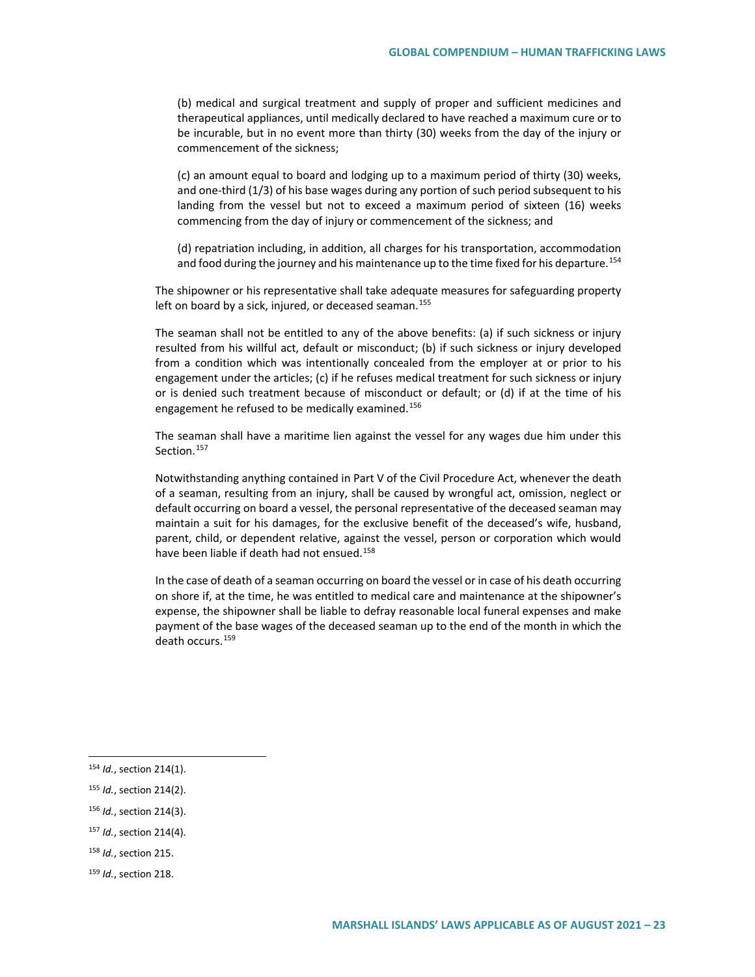(b) medical and surgical treatment and supply of proper and sufficient medicines and therapeutical appliances, until medically declared to have reached a maximum cure or to be incurable, but in no event more than thirty (30) weeks from the day of the injury or commencement of the sickness;

(c) an amount equal to board and lodging up to a maximum period of thirty (30) weeks, and one-third (1/3) of his base wages during any portion of such period subsequent to his landing from the vessel but not to exceed a maximum period of sixteen (16) weeks commencing from the day of injury or commencement of the sickness; and

(d) repatriation including, in addition, all charges for his transportation, accommodation and food during the journey and his maintenance up to the time fixed for his departure.<sup>[154](#page-22-0)</sup>

The shipowner or his representative shall take adequate measures for safeguarding property left on board by a sick, injured, or deceased seaman.<sup>[155](#page-22-1)</sup>

The seaman shall not be entitled to any of the above benefits: (a) if such sickness or injury resulted from his willful act, default or misconduct; (b) if such sickness or injury developed from a condition which was intentionally concealed from the employer at or prior to his engagement under the articles; (c) if he refuses medical treatment for such sickness or injury or is denied such treatment because of misconduct or default; or (d) if at the time of his engagement he refused to be medically examined.<sup>[156](#page-22-2)</sup>

The seaman shall have a maritime lien against the vessel for any wages due him under this Section.<sup>[157](#page-22-3)</sup>

Notwithstanding anything contained in Part V of the Civil Procedure Act, whenever the death of a seaman, resulting from an injury, shall be caused by wrongful act, omission, neglect or default occurring on board a vessel, the personal representative of the deceased seaman may maintain a suit for his damages, for the exclusive benefit of the deceased's wife, husband, parent, child, or dependent relative, against the vessel, person or corporation which would have been liable if death had not ensued.<sup>[158](#page-22-4)</sup>

In the case of death of a seaman occurring on board the vessel or in case of his death occurring on shore if, at the time, he was entitled to medical care and maintenance at the shipowner's expense, the shipowner shall be liable to defray reasonable local funeral expenses and make payment of the base wages of the deceased seaman up to the end of the month in which the death occurs.[159](#page-22-5)

- <span id="page-22-2"></span><sup>156</sup> *Id.*, section 214(3).
- <span id="page-22-3"></span><sup>157</sup> *Id.*, section 214(4).
- <span id="page-22-4"></span><sup>158</sup> *Id.*, section 215.
- <span id="page-22-5"></span><sup>159</sup> *Id.*, section 218.

<span id="page-22-0"></span> <sup>154</sup> *Id.*, section 214(1).

<span id="page-22-1"></span><sup>155</sup> *Id.*, section 214(2).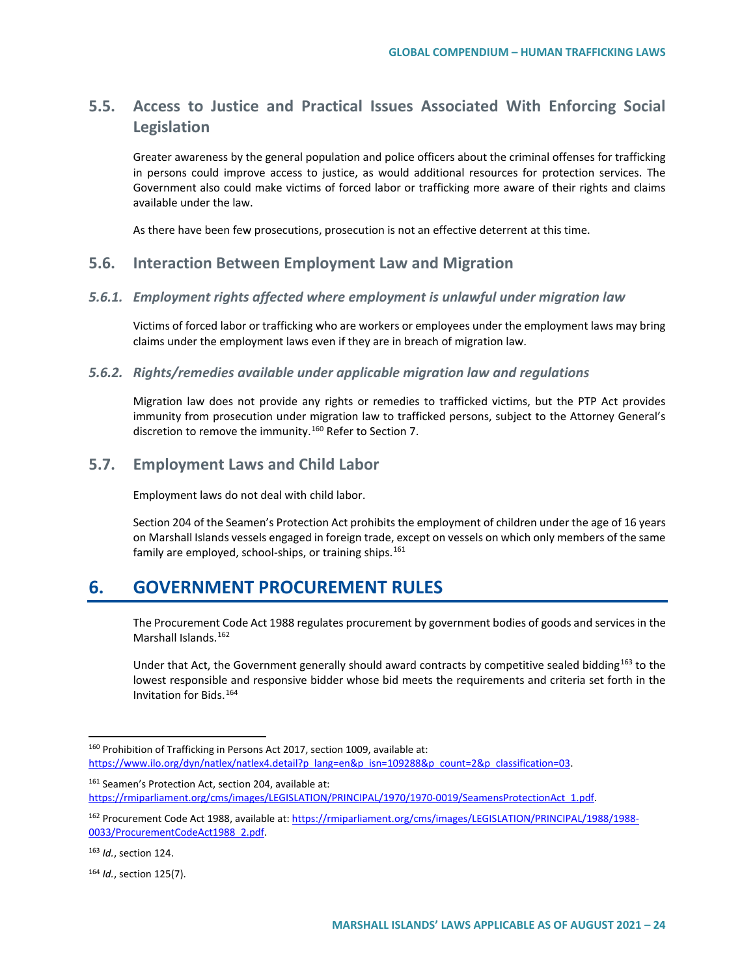## **5.5. Access to Justice and Practical Issues Associated With Enforcing Social Legislation**

Greater awareness by the general population and police officers about the criminal offenses for trafficking in persons could improve access to justice, as would additional resources for protection services. The Government also could make victims of forced labor or trafficking more aware of their rights and claims available under the law.

As there have been few prosecutions, prosecution is not an effective deterrent at this time.

### **5.6. Interaction Between Employment Law and Migration**

#### *5.6.1. Employment rights affected where employment is unlawful under migration law*

Victims of forced labor or trafficking who are workers or employees under the employment laws may bring claims under the employment laws even if they are in breach of migration law.

#### *5.6.2. Rights/remedies available under applicable migration law and regulations*

Migration law does not provide any rights or remedies to trafficked victims, but the PTP Act provides immunity from prosecution under migration law to trafficked persons, subject to the Attorney General's discretion to remove the immunity.<sup>[160](#page-23-0)</sup> Refer to Section 7.

### **5.7. Employment Laws and Child Labor**

Employment laws do not deal with child labor.

Section 204 of the Seamen's Protection Act prohibits the employment of children under the age of 16 years on Marshall Islands vessels engaged in foreign trade, except on vessels on which only members of the same family are employed, school-ships, or training ships.<sup>[161](#page-23-1)</sup>

## **6. GOVERNMENT PROCUREMENT RULES**

The Procurement Code Act 1988 regulates procurement by government bodies of goods and services in the Marshall Islands.<sup>[162](#page-23-2)</sup>

Under that Act, the Government generally should award contracts by competitive sealed bidding<sup>[163](#page-23-3)</sup> to the lowest responsible and responsive bidder whose bid meets the requirements and criteria set forth in the Invitation for Bids.[164](#page-23-4)

<span id="page-23-0"></span> <sup>160</sup> Prohibition of Trafficking in Persons Act 2017, section 1009, available at: https://www.ilo.org/dyn/natlex/natlex4.detail?p\_lang=en&p\_isn=109288&p\_count=2&p\_classification=03.

<span id="page-23-1"></span><sup>161</sup> Seamen's Protection Act, section 204, available at: [https://rmiparliament.org/cms/images/LEGISLATION/PRINCIPAL/1970/1970-0019/SeamensProtectionAct\\_1.pdf.](https://rmiparliament.org/cms/images/LEGISLATION/PRINCIPAL/1970/1970-0019/SeamensProtectionAct_1.pdf)

<span id="page-23-2"></span><sup>162</sup> Procurement Code Act 1988, available at: [https://rmiparliament.org/cms/images/LEGISLATION/PRINCIPAL/1988/1988-](https://rmiparliament.org/cms/images/LEGISLATION/PRINCIPAL/1988/1988-0033/ProcurementCodeAct1988_2.pdf) [0033/ProcurementCodeAct1988\\_2.pdf.](https://rmiparliament.org/cms/images/LEGISLATION/PRINCIPAL/1988/1988-0033/ProcurementCodeAct1988_2.pdf) 

<span id="page-23-3"></span><sup>163</sup> *Id.*, section 124.

<span id="page-23-4"></span><sup>164</sup> *Id.*, section 125(7).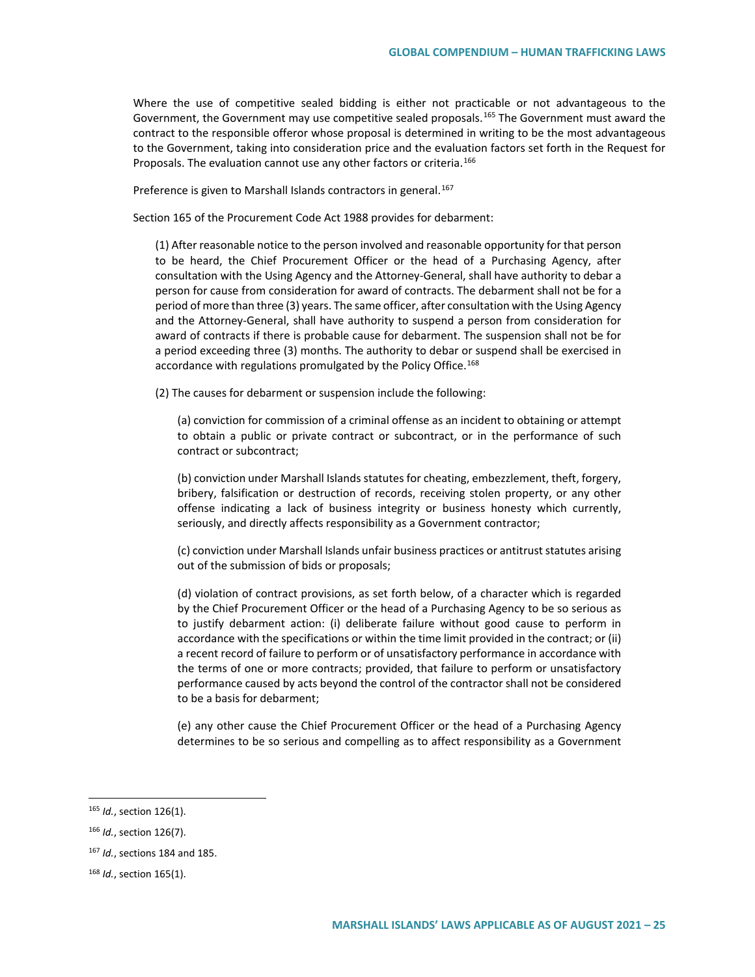Where the use of competitive sealed bidding is either not practicable or not advantageous to the Government, the Government may use competitive sealed proposals.<sup>[165](#page-24-0)</sup> The Government must award the contract to the responsible offeror whose proposal is determined in writing to be the most advantageous to the Government, taking into consideration price and the evaluation factors set forth in the Request for Proposals. The evaluation cannot use any other factors or criteria.<sup>[166](#page-24-1)</sup>

Preference is given to Marshall Islands contractors in general.<sup>[167](#page-24-2)</sup>

Section 165 of the Procurement Code Act 1988 provides for debarment:

(1) After reasonable notice to the person involved and reasonable opportunity for that person to be heard, the Chief Procurement Officer or the head of a Purchasing Agency, after consultation with the Using Agency and the Attorney-General, shall have authority to debar a person for cause from consideration for award of contracts. The debarment shall not be for a period of more than three (3) years. The same officer, after consultation with the Using Agency and the Attorney-General, shall have authority to suspend a person from consideration for award of contracts if there is probable cause for debarment. The suspension shall not be for a period exceeding three (3) months. The authority to debar or suspend shall be exercised in accordance with regulations promulgated by the Policy Office.<sup>[168](#page-24-3)</sup>

(2) The causes for debarment or suspension include the following:

(a) conviction for commission of a criminal offense as an incident to obtaining or attempt to obtain a public or private contract or subcontract, or in the performance of such contract or subcontract;

(b) conviction under Marshall Islands statutes for cheating, embezzlement, theft, forgery, bribery, falsification or destruction of records, receiving stolen property, or any other offense indicating a lack of business integrity or business honesty which currently, seriously, and directly affects responsibility as a Government contractor;

(c) conviction under Marshall Islands unfair business practices or antitrust statutes arising out of the submission of bids or proposals;

(d) violation of contract provisions, as set forth below, of a character which is regarded by the Chief Procurement Officer or the head of a Purchasing Agency to be so serious as to justify debarment action: (i) deliberate failure without good cause to perform in accordance with the specifications or within the time limit provided in the contract; or (ii) a recent record of failure to perform or of unsatisfactory performance in accordance with the terms of one or more contracts; provided, that failure to perform or unsatisfactory performance caused by acts beyond the control of the contractor shall not be considered to be a basis for debarment;

(e) any other cause the Chief Procurement Officer or the head of a Purchasing Agency determines to be so serious and compelling as to affect responsibility as a Government

<span id="page-24-0"></span> <sup>165</sup> *Id.*, section 126(1).

<span id="page-24-1"></span><sup>166</sup> *Id.*, section 126(7).

<span id="page-24-2"></span><sup>167</sup> *Id.*, sections 184 and 185.

<span id="page-24-3"></span><sup>168</sup> *Id.*, section 165(1).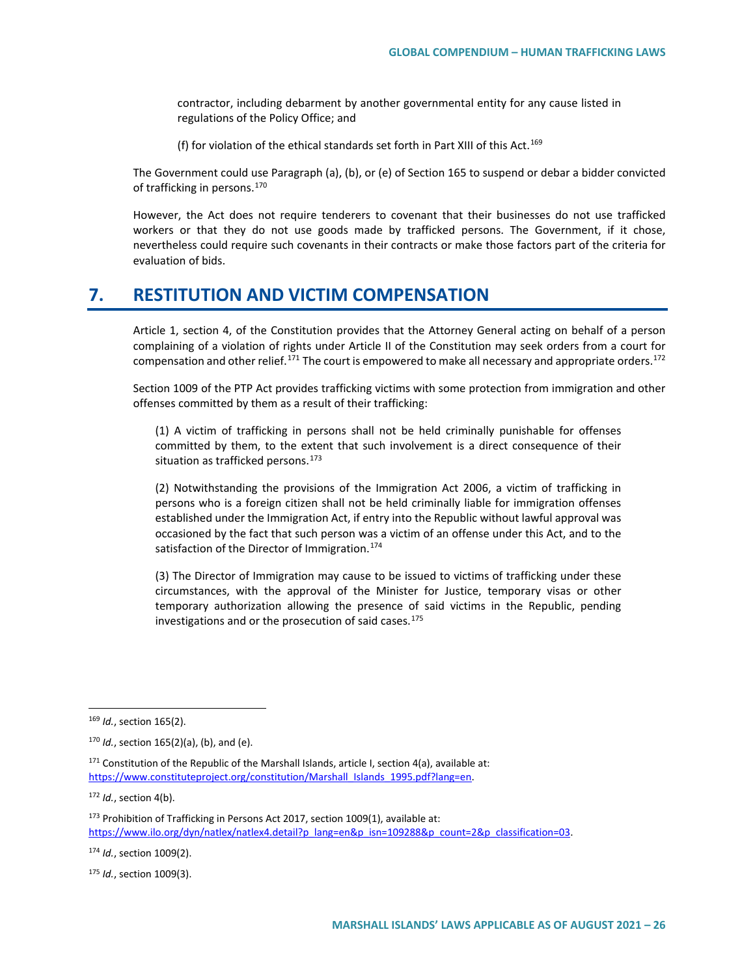contractor, including debarment by another governmental entity for any cause listed in regulations of the Policy Office; and

(f) for violation of the ethical standards set forth in Part XIII of this Act.<sup>[169](#page-25-0)</sup>

The Government could use Paragraph (a), (b), or (e) of Section 165 to suspend or debar a bidder convicted of trafficking in persons.[170](#page-25-1)

However, the Act does not require tenderers to covenant that their businesses do not use trafficked workers or that they do not use goods made by trafficked persons. The Government, if it chose, nevertheless could require such covenants in their contracts or make those factors part of the criteria for evaluation of bids.

## **7. RESTITUTION AND VICTIM COMPENSATION**

Article 1, section 4, of the Constitution provides that the Attorney General acting on behalf of a person complaining of a violation of rights under Article II of the Constitution may seek orders from a court for compensation and other relief.<sup>[171](#page-25-2)</sup> The court is empowered to make all necessary and appropriate orders.<sup>[172](#page-25-3)</sup>

Section 1009 of the PTP Act provides trafficking victims with some protection from immigration and other offenses committed by them as a result of their trafficking:

(1) A victim of trafficking in persons shall not be held criminally punishable for offenses committed by them, to the extent that such involvement is a direct consequence of their situation as trafficked persons.<sup>[173](#page-25-4)</sup>

(2) Notwithstanding the provisions of the Immigration Act 2006, a victim of trafficking in persons who is a foreign citizen shall not be held criminally liable for immigration offenses established under the Immigration Act, if entry into the Republic without lawful approval was occasioned by the fact that such person was a victim of an offense under this Act, and to the satisfaction of the Director of Immigration.<sup>[174](#page-25-5)</sup>

(3) The Director of Immigration may cause to be issued to victims of trafficking under these circumstances, with the approval of the Minister for Justice, temporary visas or other temporary authorization allowing the presence of said victims in the Republic, pending investigations and or the prosecution of said cases.<sup>[175](#page-25-6)</sup>

<span id="page-25-3"></span><sup>172</sup> *Id.*, section 4(b).

<span id="page-25-5"></span><sup>174</sup> *Id.*, section 1009(2).

<span id="page-25-6"></span><sup>175</sup> *Id.*, section 1009(3).

<span id="page-25-0"></span> <sup>169</sup> *Id.*, section 165(2).

<span id="page-25-1"></span><sup>170</sup> *Id.*, section 165(2)(a), (b), and (e).

<span id="page-25-2"></span> $171$  Constitution of the Republic of the Marshall Islands, article I, section 4(a), available at: https://www.constituteproject.org/constitution/Marshall\_Islands\_1995.pdf?lang=en.

<span id="page-25-4"></span><sup>173</sup> Prohibition of Trafficking in Persons Act 2017, section 1009(1), available at: https://www.ilo.org/dyn/natlex/natlex4.detail?p\_lang=en&p\_isn=109288&p\_count=2&p\_classification=03.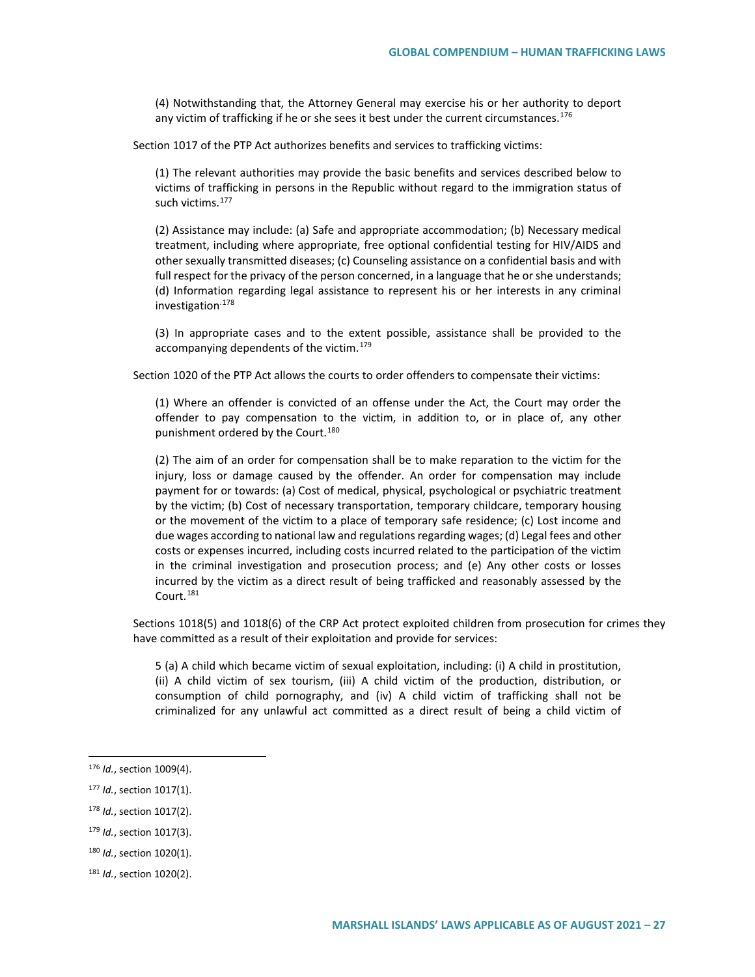(4) Notwithstanding that, the Attorney General may exercise his or her authority to deport any victim of trafficking if he or she sees it best under the current circumstances.<sup>[176](#page-26-0)</sup>

Section 1017 of the PTP Act authorizes benefits and services to trafficking victims:

(1) The relevant authorities may provide the basic benefits and services described below to victims of trafficking in persons in the Republic without regard to the immigration status of such victims.<sup>177</sup>

(2) Assistance may include: (a) Safe and appropriate accommodation; (b) Necessary medical treatment, including where appropriate, free optional confidential testing for HIV/AIDS and other sexually transmitted diseases; (c) Counseling assistance on a confidential basis and with full respect for the privacy of the person concerned, in a language that he or she understands; (d) Information regarding legal assistance to represent his or her interests in any criminal investigation.[178](#page-26-2)

(3) In appropriate cases and to the extent possible, assistance shall be provided to the accompanying dependents of the victim.<sup>[179](#page-26-3)</sup>

Section 1020 of the PTP Act allows the courts to order offenders to compensate their victims:

(1) Where an offender is convicted of an offense under the Act, the Court may order the offender to pay compensation to the victim, in addition to, or in place of, any other punishment ordered by the Court.<sup>[180](#page-26-4)</sup>

(2) The aim of an order for compensation shall be to make reparation to the victim for the injury, loss or damage caused by the offender. An order for compensation may include payment for or towards: (a) Cost of medical, physical, psychological or psychiatric treatment by the victim; (b) Cost of necessary transportation, temporary childcare, temporary housing or the movement of the victim to a place of temporary safe residence; (c) Lost income and due wages according to national law and regulations regarding wages; (d) Legal fees and other costs or expenses incurred, including costs incurred related to the participation of the victim in the criminal investigation and prosecution process; and (e) Any other costs or losses incurred by the victim as a direct result of being trafficked and reasonably assessed by the Court.<sup>[181](#page-26-5)</sup>

Sections 1018(5) and 1018(6) of the CRP Act protect exploited children from prosecution for crimes they have committed as a result of their exploitation and provide for services:

5 (a) A child which became victim of sexual exploitation, including: (i) A child in prostitution, (ii) A child victim of sex tourism, (iii) A child victim of the production, distribution, or consumption of child pornography, and (iv) A child victim of trafficking shall not be criminalized for any unlawful act committed as a direct result of being a child victim of

<span id="page-26-2"></span><sup>178</sup> *Id.*, section 1017(2).

<span id="page-26-4"></span><sup>180</sup> *Id.*, section 1020(1).

<span id="page-26-0"></span> <sup>176</sup> *Id.*, section 1009(4).

<span id="page-26-1"></span><sup>177</sup> *Id.*, section 1017(1).

<span id="page-26-3"></span><sup>179</sup> *Id.*, section 1017(3).

<span id="page-26-5"></span><sup>181</sup> *Id.*, section 1020(2).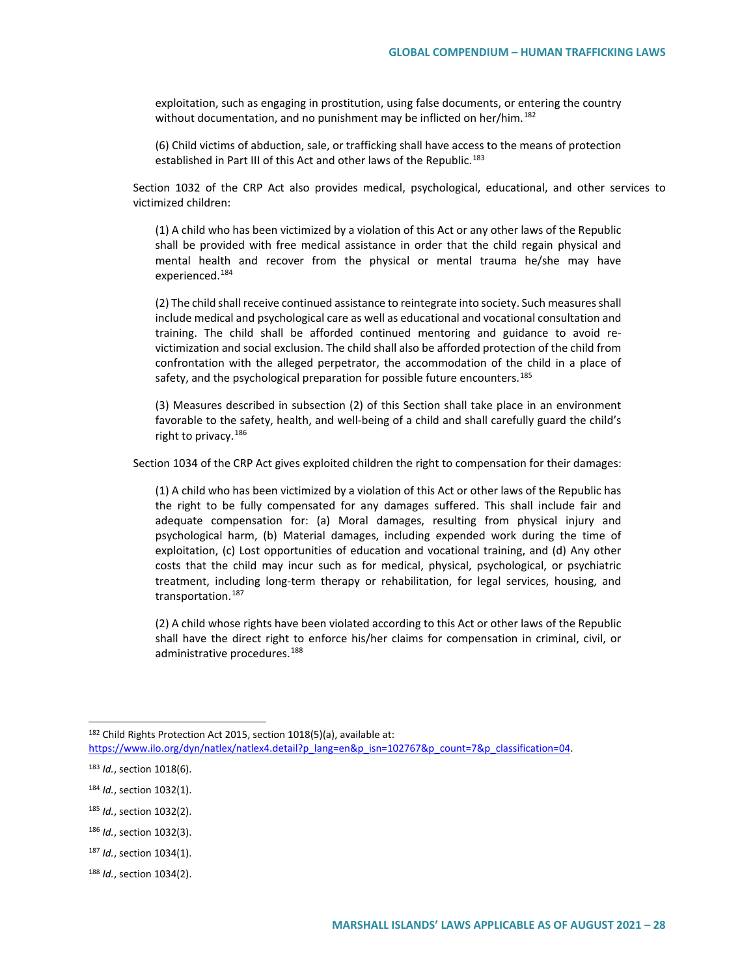exploitation, such as engaging in prostitution, using false documents, or entering the country without documentation, and no punishment may be inflicted on her/him.<sup>[182](#page-27-0)</sup>

(6) Child victims of abduction, sale, or trafficking shall have access to the means of protection established in Part III of this Act and other laws of the Republic.<sup>[183](#page-27-1)</sup>

Section 1032 of the CRP Act also provides medical, psychological, educational, and other services to victimized children:

(1) A child who has been victimized by a violation of this Act or any other laws of the Republic shall be provided with free medical assistance in order that the child regain physical and mental health and recover from the physical or mental trauma he/she may have experienced.<sup>[184](#page-27-2)</sup>

(2) The child shall receive continued assistance to reintegrate into society. Such measures shall include medical and psychological care as well as educational and vocational consultation and training. The child shall be afforded continued mentoring and guidance to avoid revictimization and social exclusion. The child shall also be afforded protection of the child from confrontation with the alleged perpetrator, the accommodation of the child in a place of safety, and the psychological preparation for possible future encounters.<sup>[185](#page-27-3)</sup>

(3) Measures described in subsection (2) of this Section shall take place in an environment favorable to the safety, health, and well-being of a child and shall carefully guard the child's right to privacy.<sup>[186](#page-27-4)</sup>

Section 1034 of the CRP Act gives exploited children the right to compensation for their damages:

(1) A child who has been victimized by a violation of this Act or other laws of the Republic has the right to be fully compensated for any damages suffered. This shall include fair and adequate compensation for: (a) Moral damages, resulting from physical injury and psychological harm, (b) Material damages, including expended work during the time of exploitation, (c) Lost opportunities of education and vocational training, and (d) Any other costs that the child may incur such as for medical, physical, psychological, or psychiatric treatment, including long-term therapy or rehabilitation, for legal services, housing, and transportation.<sup>[187](#page-27-5)</sup>

(2) A child whose rights have been violated according to this Act or other laws of the Republic shall have the direct right to enforce his/her claims for compensation in criminal, civil, or administrative procedures.<sup>[188](#page-27-6)</sup>

<span id="page-27-0"></span> <sup>182</sup> Child Rights Protection Act 2015, section 1018(5)(a), available at:

https://www.ilo.org/dyn/natlex/natlex4.detail?p\_lang=en&p\_isn=102767&p\_count=7&p\_classification=04.

<span id="page-27-1"></span><sup>183</sup> *Id.*, section 1018(6).

<span id="page-27-2"></span><sup>184</sup> *Id.*, section 1032(1).

<span id="page-27-3"></span><sup>185</sup> *Id.*, section 1032(2).

<span id="page-27-4"></span><sup>186</sup> *Id.*, section 1032(3).

<span id="page-27-5"></span><sup>187</sup> *Id.*, section 1034(1).

<span id="page-27-6"></span><sup>188</sup> *Id.*, section 1034(2).